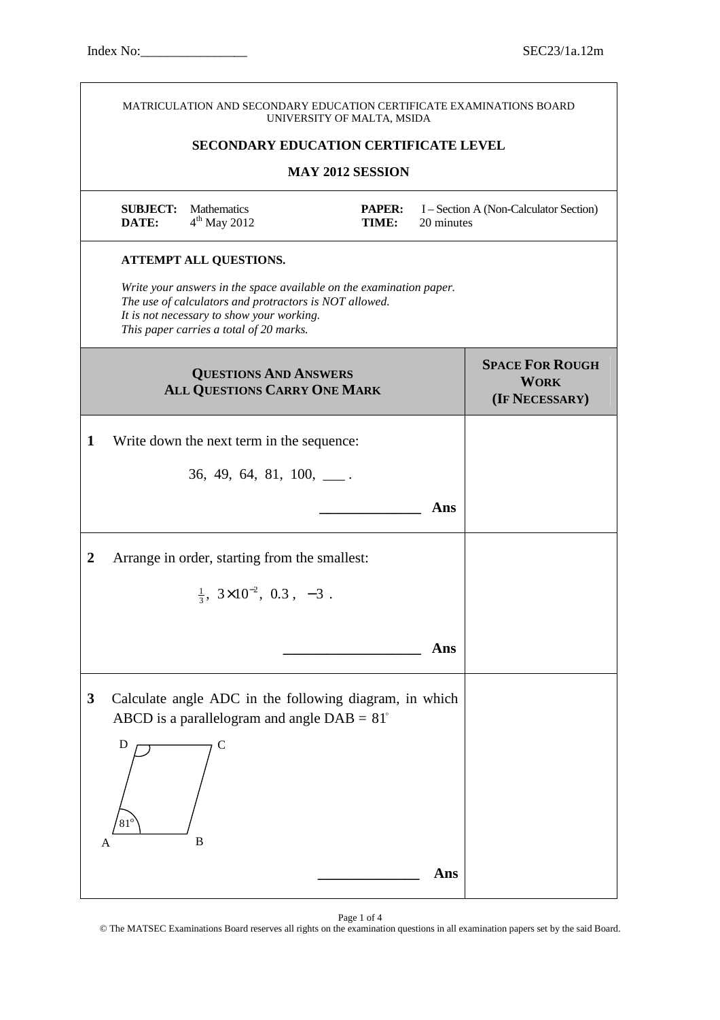|                  |                          | MATRICULATION AND SECONDARY EDUCATION CERTIFICATE EXAMINATIONS BOARD                                                                                                                                                  | UNIVERSITY OF MALTA, MSIDA                   |            |                                                         |
|------------------|--------------------------|-----------------------------------------------------------------------------------------------------------------------------------------------------------------------------------------------------------------------|----------------------------------------------|------------|---------------------------------------------------------|
|                  |                          |                                                                                                                                                                                                                       | <b>SECONDARY EDUCATION CERTIFICATE LEVEL</b> |            |                                                         |
|                  |                          |                                                                                                                                                                                                                       | <b>MAY 2012 SESSION</b>                      |            |                                                         |
|                  | <b>SUBJECT:</b><br>DATE: | <b>Mathematics</b><br>$4th$ May 2012                                                                                                                                                                                  | <b>PAPER:</b><br>TIME:                       | 20 minutes | I – Section A (Non-Calculator Section)                  |
|                  |                          | <b>ATTEMPT ALL QUESTIONS.</b>                                                                                                                                                                                         |                                              |            |                                                         |
|                  |                          | Write your answers in the space available on the examination paper.<br>The use of calculators and protractors is NOT allowed.<br>It is not necessary to show your working.<br>This paper carries a total of 20 marks. |                                              |            |                                                         |
|                  |                          | <b>QUESTIONS AND ANSWERS</b><br>ALL QUESTIONS CARRY ONE MARK                                                                                                                                                          |                                              |            | <b>SPACE FOR ROUGH</b><br><b>WORK</b><br>(IF NECESSARY) |
| 1                |                          | Write down the next term in the sequence:                                                                                                                                                                             |                                              |            |                                                         |
|                  |                          | $36, 49, 64, 81, 100, \_\_$ .                                                                                                                                                                                         |                                              |            |                                                         |
|                  |                          |                                                                                                                                                                                                                       |                                              | Ans        |                                                         |
| $\boldsymbol{2}$ |                          | Arrange in order, starting from the smallest:                                                                                                                                                                         |                                              |            |                                                         |
|                  |                          | $\frac{1}{3}$ , $3\times10^{-2}$ , 0.3, -3.                                                                                                                                                                           |                                              |            |                                                         |
|                  |                          |                                                                                                                                                                                                                       |                                              | Ans        |                                                         |
| $\mathbf{3}$     |                          | Calculate angle ADC in the following diagram, in which<br>ABCD is a parallelogram and angle $DAB = 81^\circ$                                                                                                          |                                              |            |                                                         |
| A                | D<br>$81^\circ$          | C<br>B                                                                                                                                                                                                                |                                              |            |                                                         |
|                  |                          |                                                                                                                                                                                                                       |                                              | Ans        |                                                         |

Page 1 of 4

© The MATSEC Examinations Board reserves all rights on the examination questions in all examination papers set by the said Board.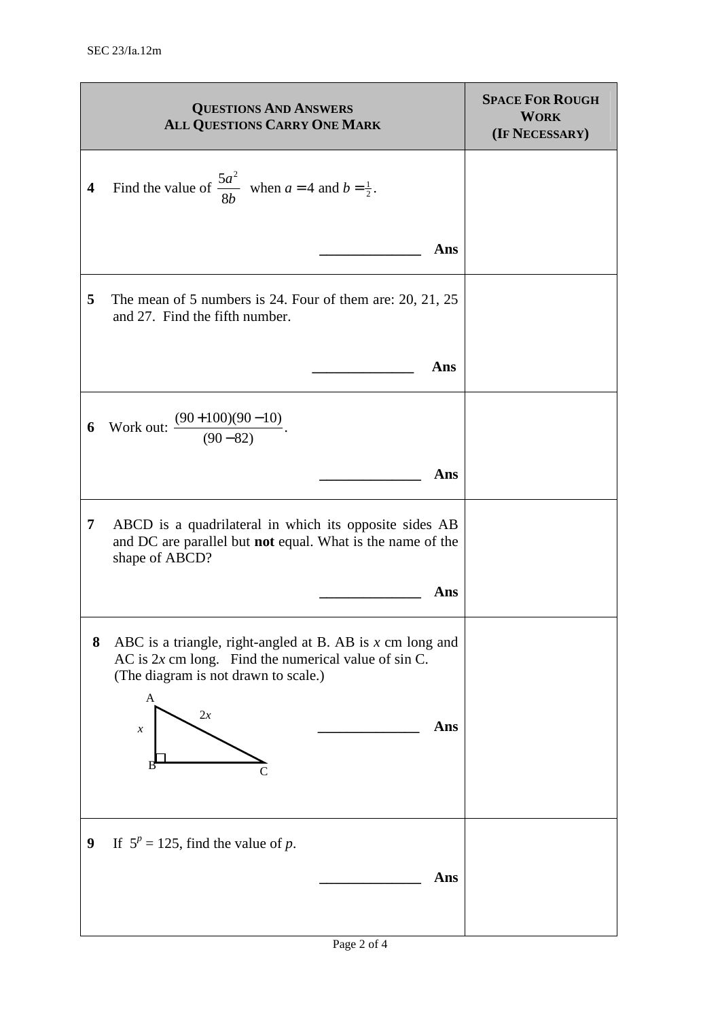|                         | <b>QUESTIONS AND ANSWERS</b><br>ALL QUESTIONS CARRY ONE MARK                                                                                                                                                  | <b>SPACE FOR ROUGH</b><br><b>WORK</b><br>(IF NECESSARY) |
|-------------------------|---------------------------------------------------------------------------------------------------------------------------------------------------------------------------------------------------------------|---------------------------------------------------------|
| $\overline{\mathbf{4}}$ | Find the value of $\frac{5a^2}{8b}$ when $a = 4$ and $b = \frac{1}{2}$ .                                                                                                                                      |                                                         |
|                         | Ans                                                                                                                                                                                                           |                                                         |
| 5                       | The mean of 5 numbers is 24. Four of them are: $20$ , $21$ , $25$<br>and 27. Find the fifth number.                                                                                                           |                                                         |
|                         | Ans                                                                                                                                                                                                           |                                                         |
| 6                       | Work out: $\frac{(90+100)(90-10)}{(90-82)}$ .                                                                                                                                                                 |                                                         |
|                         | Ans                                                                                                                                                                                                           |                                                         |
| 7                       | ABCD is a quadrilateral in which its opposite sides AB<br>and DC are parallel but not equal. What is the name of the<br>shape of ABCD?                                                                        |                                                         |
|                         | Ans                                                                                                                                                                                                           |                                                         |
| 8                       | ABC is a triangle, right-angled at B. AB is $x$ cm long and<br>AC is $2x$ cm long. Find the numerical value of sin C.<br>(The diagram is not drawn to scale.)<br>A<br>2x<br>Ans<br>$\boldsymbol{\mathcal{X}}$ |                                                         |
| 9                       | If $5^p = 125$ , find the value of p.<br>Ans                                                                                                                                                                  |                                                         |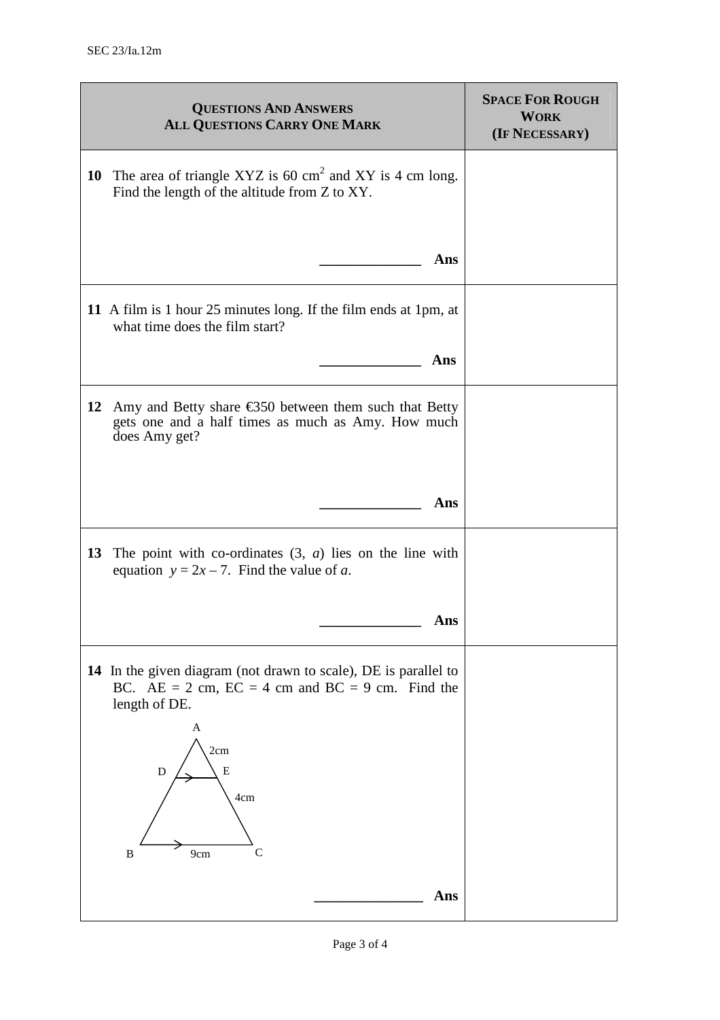| <b>QUESTIONS AND ANSWERS</b><br><b>ALL QUESTIONS CARRY ONE MARK</b>                                                                          | <b>SPACE FOR ROUGH</b><br><b>WORK</b><br>(IF NECESSARY) |
|----------------------------------------------------------------------------------------------------------------------------------------------|---------------------------------------------------------|
| 10 The area of triangle XYZ is 60 $\text{cm}^2$ and XY is 4 cm long.<br>Find the length of the altitude from Z to XY.                        |                                                         |
| Ans                                                                                                                                          |                                                         |
| 11 A film is 1 hour 25 minutes long. If the film ends at 1pm, at<br>what time does the film start?                                           |                                                         |
| Ans                                                                                                                                          |                                                         |
| 12<br>Amy and Betty share $\epsilon$ 350 between them such that Betty<br>gets one and a half times as much as Amy. How much<br>does Amy get? |                                                         |
| Ans                                                                                                                                          |                                                         |
| 13<br>The point with co-ordinates $(3, a)$ lies on the line with<br>equation $y = 2x - 7$ . Find the value of a.                             |                                                         |
| Ans                                                                                                                                          |                                                         |
| 14 In the given diagram (not drawn to scale), DE is parallel to<br>BC. $AE = 2$ cm, $EC = 4$ cm and $BC = 9$ cm. Find the<br>length of DE.   |                                                         |
| A<br>2cm<br>${\bf E}$<br>${\rm D}$<br>4cm<br>C<br>B<br>9cm                                                                                   |                                                         |
| Ans                                                                                                                                          |                                                         |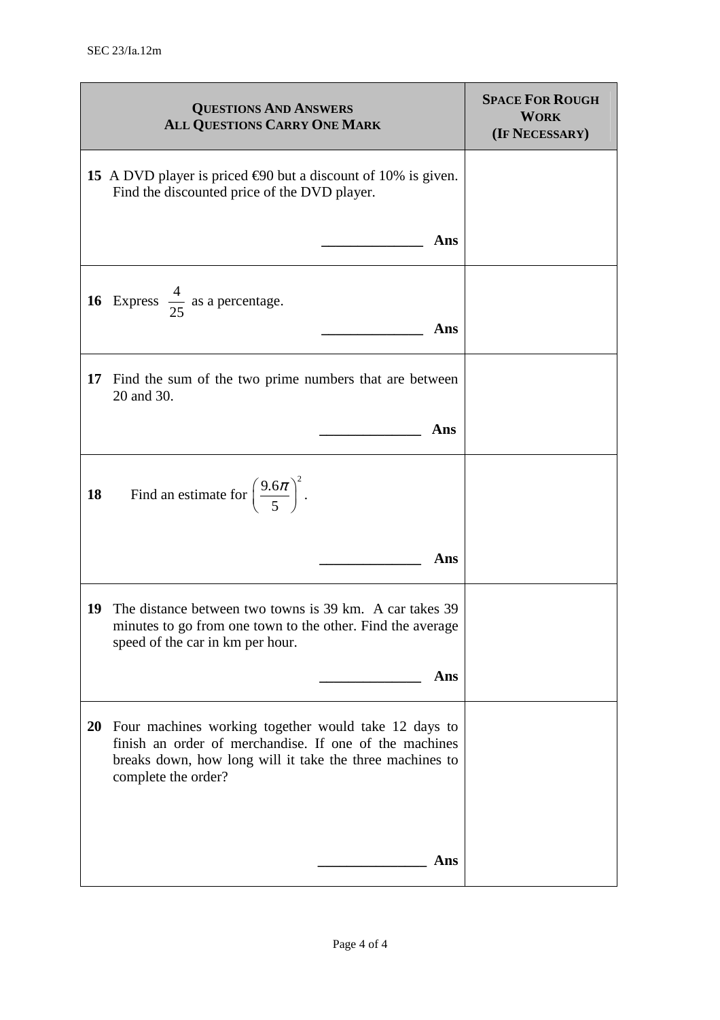|    | <b>QUESTIONS AND ANSWERS</b><br>ALL QUESTIONS CARRY ONE MARK                                                                                                                                         | <b>SPACE FOR ROUGH</b><br><b>WORK</b><br>(IF NECESSARY) |
|----|------------------------------------------------------------------------------------------------------------------------------------------------------------------------------------------------------|---------------------------------------------------------|
|    | 15 A DVD player is priced $\epsilon$ 90 but a discount of 10% is given.<br>Find the discounted price of the DVD player.                                                                              |                                                         |
|    | Ans                                                                                                                                                                                                  |                                                         |
|    | <b>16</b> Express $\frac{4}{25}$ as a percentage.<br>Ans                                                                                                                                             |                                                         |
| 17 | Find the sum of the two prime numbers that are between<br>20 and 30.                                                                                                                                 |                                                         |
|    | Ans                                                                                                                                                                                                  |                                                         |
| 18 | Find an estimate for $\left(\frac{9.6\pi}{5}\right)^2$ .                                                                                                                                             |                                                         |
|    | Ans                                                                                                                                                                                                  |                                                         |
| 19 | The distance between two towns is 39 km. A car takes 39<br>minutes to go from one town to the other. Find the average<br>speed of the car in km per hour.                                            |                                                         |
|    | Ans                                                                                                                                                                                                  |                                                         |
|    | 20 Four machines working together would take 12 days to<br>finish an order of merchandise. If one of the machines<br>breaks down, how long will it take the three machines to<br>complete the order? |                                                         |
|    | Ans                                                                                                                                                                                                  |                                                         |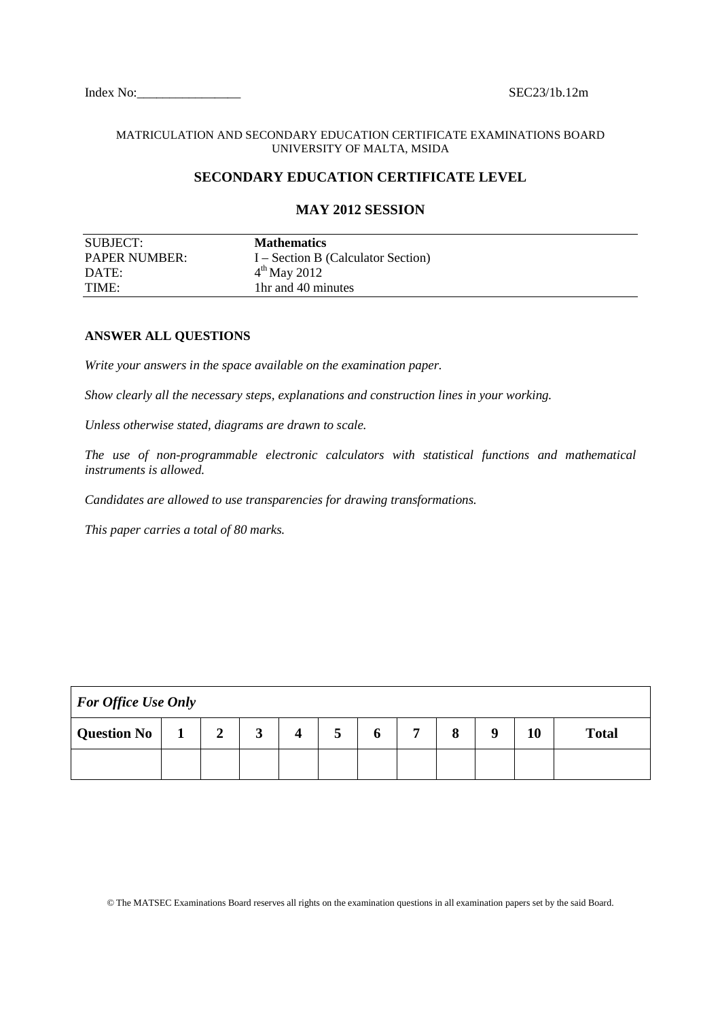Index No: SEC23/1b.12m

#### MATRICULATION AND SECONDARY EDUCATION CERTIFICATE EXAMINATIONS BOARD UNIVERSITY OF MALTA, MSIDA

### **SECONDARY EDUCATION CERTIFICATE LEVEL**

# **MAY 2012 SESSION**  SUBJECT: **Mathematics** PAPER NUMBER: I – Section B (Calculator Section) DATE:  $4^{\text{th}}$  May 2012 TIME: 1hr and 40 minutes

#### **ANSWER ALL QUESTIONS**

*Write your answers in the space available on the examination paper.* 

*Show clearly all the necessary steps, explanations and construction lines in your working.* 

*Unless otherwise stated, diagrams are drawn to scale.* 

*The use of non-programmable electronic calculators with statistical functions and mathematical instruments is allowed.* 

*Candidates are allowed to use transparencies for drawing transformations.* 

*This paper carries a total of 80 marks.* 

| <b>For Office Use Only</b> |  |   |   |  |   |   |              |   |   |    |              |
|----------------------------|--|---|---|--|---|---|--------------|---|---|----|--------------|
| Question No                |  | 2 | J |  | ∍ | o | $\mathbf{r}$ | 8 | Q | 10 | <b>Total</b> |
|                            |  |   |   |  |   |   |              |   |   |    |              |

© The MATSEC Examinations Board reserves all rights on the examination questions in all examination papers set by the said Board.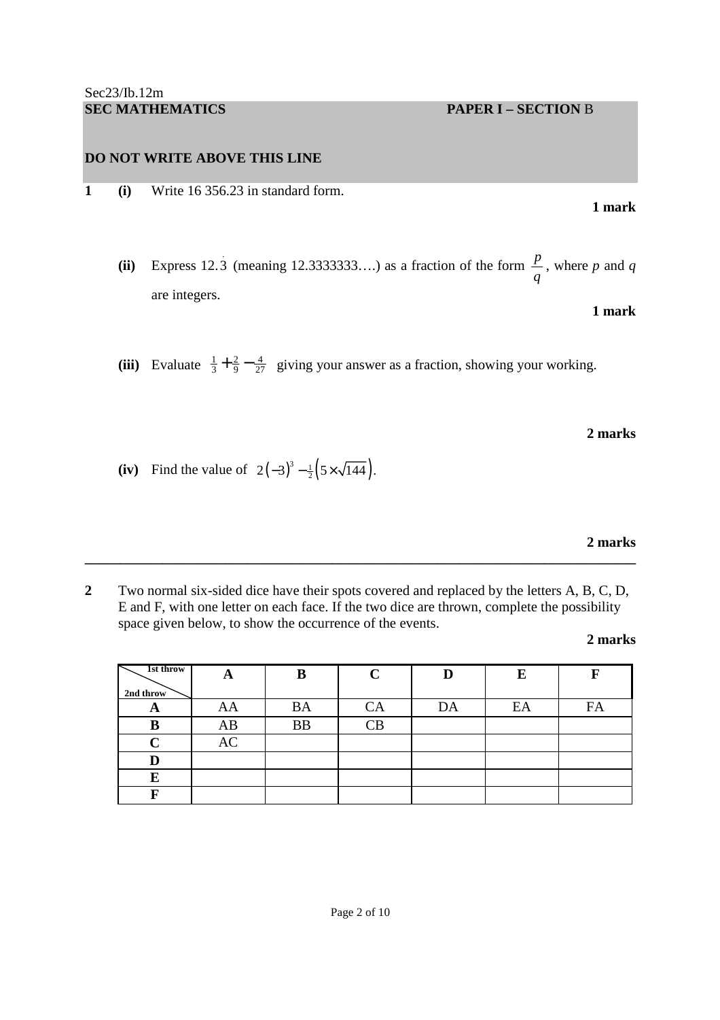**1 (i)** Write 16 356.23 in standard form.

(ii) Express 12.3 (meaning 12.3333333....) as a fraction of the form  $\frac{p}{q}$ *q* , where *p* and *q* are integers. **1 mark** 

(iii) Evaluate  $\frac{1}{3} + \frac{2}{9} - \frac{4}{27}$  giving your answer as a fraction, showing your working.

**2 marks** 

**(iv)** Find the value of  $2(-3)^3 - \frac{1}{2}(5 \times \sqrt{144})$ .

**2 marks** 

**2** Two normal six-sided dice have their spots covered and replaced by the letters A, B, C, D, E and F, with one letter on each face. If the two dice are thrown, complete the possibility space given below, to show the occurrence of the events.

**\_\_\_\_\_\_\_\_\_\_\_\_\_\_\_\_\_\_\_\_\_\_\_\_\_\_\_\_\_\_\_\_\_\_\_\_\_\_\_\_\_\_\_\_\_\_\_\_\_\_\_\_\_\_\_\_\_\_\_\_\_\_\_\_\_\_\_\_\_\_\_\_\_\_\_\_\_\_** 

**2 marks** 

| 1st throw   | A  | В         | C                      |    | E  |    |
|-------------|----|-----------|------------------------|----|----|----|
| 2nd throw   |    |           |                        |    |    |    |
| A           | AA | <b>BA</b> | CA                     | DA | EA | FA |
| B           | AB | <b>BB</b> | $\overline{\text{CB}}$ |    |    |    |
| $\mathbf C$ | AC |           |                        |    |    |    |
| D           |    |           |                        |    |    |    |
| E           |    |           |                        |    |    |    |
| Б           |    |           |                        |    |    |    |

**1 mark**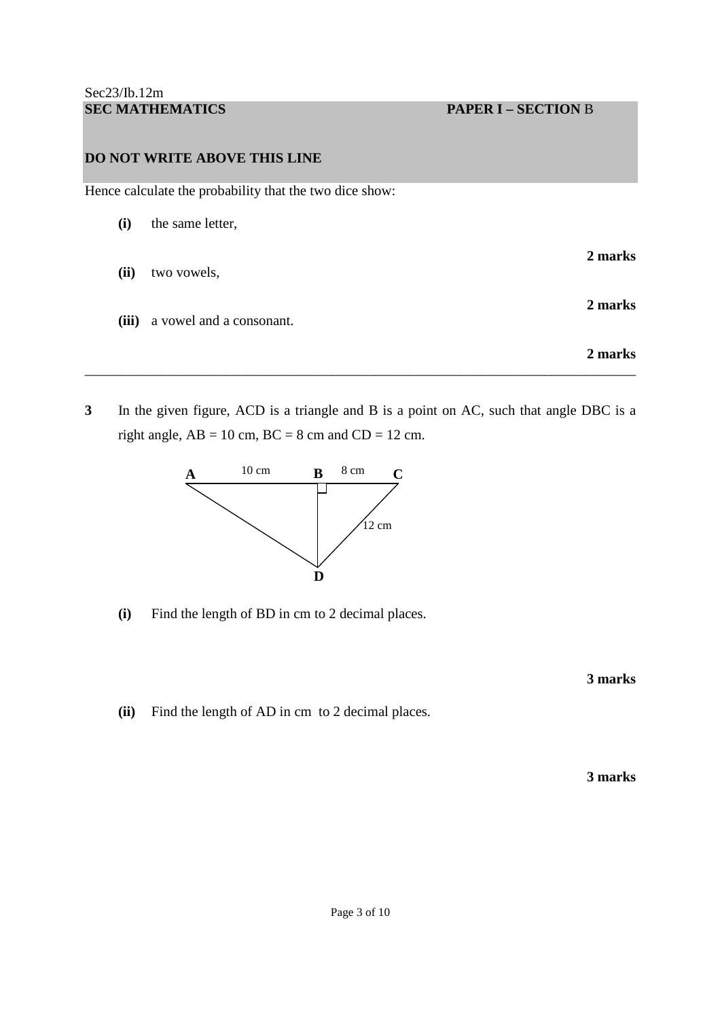Hence calculate the probability that the two dice show:

| (i)   | the same letter,         |         |
|-------|--------------------------|---------|
| (ii)  | two vowels,              | 2 marks |
| (iii) | a vowel and a consonant. | 2 marks |
|       |                          | 2 marks |

**3** In the given figure, ACD is a triangle and B is a point on AC, such that angle DBC is a right angle,  $AB = 10$  cm,  $BC = 8$  cm and  $CD = 12$  cm.

\_\_\_\_\_\_\_\_\_\_\_\_\_\_\_\_\_\_\_\_\_\_\_\_\_\_\_\_\_\_\_\_\_\_\_\_\_\_\_\_\_\_\_\_\_\_\_\_\_\_\_\_\_\_\_\_\_\_\_\_\_\_\_\_\_\_\_\_\_\_\_\_\_\_\_\_\_\_



 **(i)** Find the length of BD in cm to 2 decimal places.

**3 marks** 

 **(ii)** Find the length of AD in cm to 2 decimal places.

**3 marks**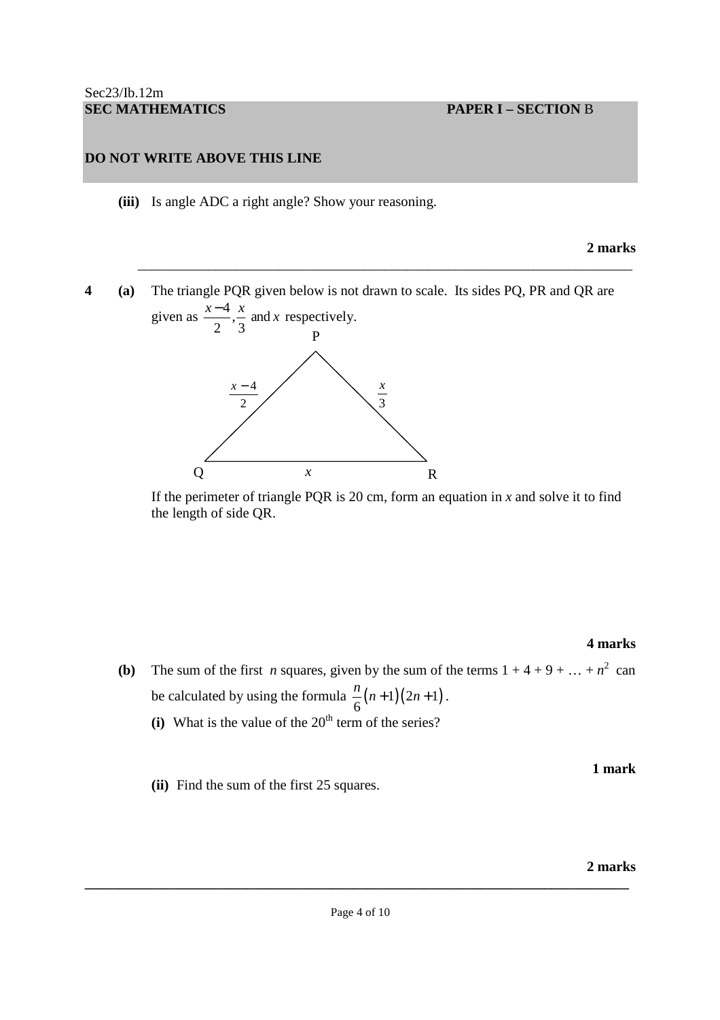**(iii)** Is angle ADC a right angle? Show your reasoning.

#### **2 marks**

**4 (a)** The triangle PQR given below is not drawn to scale. Its sides PQ, PR and QR are given as  $\frac{x-4}{2}, \frac{x}{2}$  and  $\frac{x-4}{2}, \frac{x}{2}$  and x respectively.

\_\_\_\_\_\_\_\_\_\_\_\_\_\_\_\_\_\_\_\_\_\_\_\_\_\_\_\_\_\_\_\_\_\_\_\_\_\_\_\_\_\_\_\_\_\_\_\_\_\_\_\_\_\_\_\_\_\_\_\_\_\_\_\_\_\_\_\_\_\_



If the perimeter of triangle PQR is 20 cm, form an equation in  $x$  and solve it to find the length of side QR.

#### **4 marks**

**(b)** The sum of the first *n* squares, given by the sum of the terms  $1 + 4 + 9 + ... + n^2$  can be calculated by using the formula  $\frac{n}{6}(n+1)(2n+1)$  $\frac{n}{2}(n+1)(2n+1)$ .

**1 mark** 

- $(i)$  What is the value of the 20<sup>th</sup> term of the series?
- **(ii)** Find the sum of the first 25 squares.

#### **2 marks**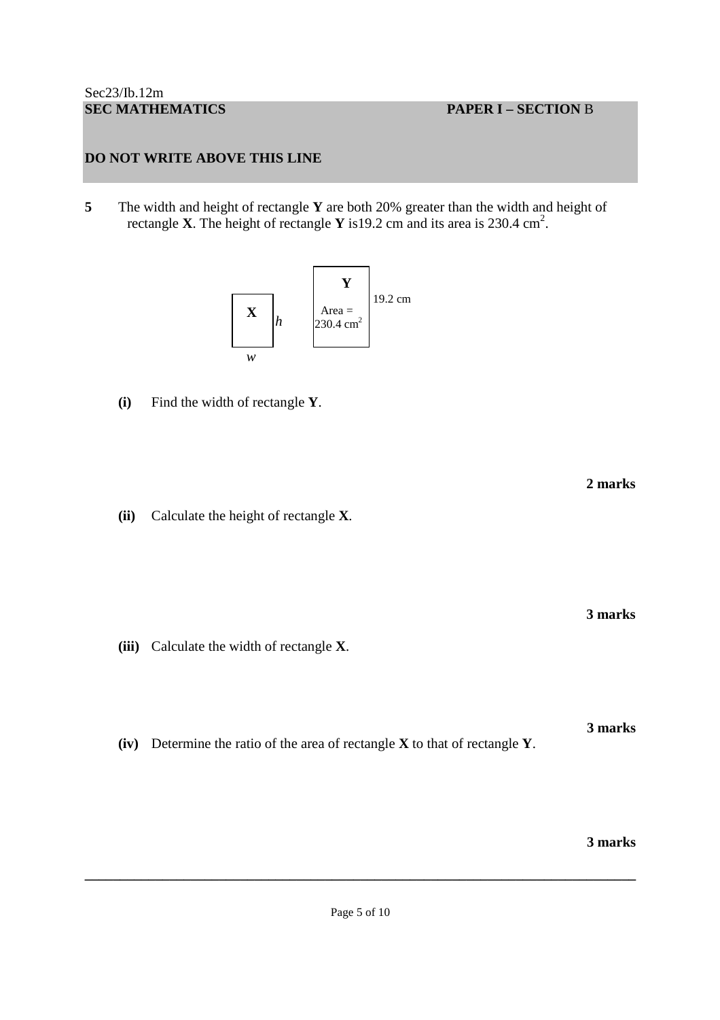**5** The width and height of rectangle **Y** are both 20% greater than the width and height of rectangle **X**. The height of rectangle **Y** is 19.2 cm and its area is 230.4 cm<sup>2</sup>.

 **2 marks** 



**(i)** Find the width of rectangle **Y**.

 **(ii)** Calculate the height of rectangle **X**.

 **3 marks** 

**3 marks** 

**(iii)** Calculate the width of rectangle **X**.

**(iv)** Determine the ratio of the area of rectangle **X** to that of rectangle **Y**.

**3 marks**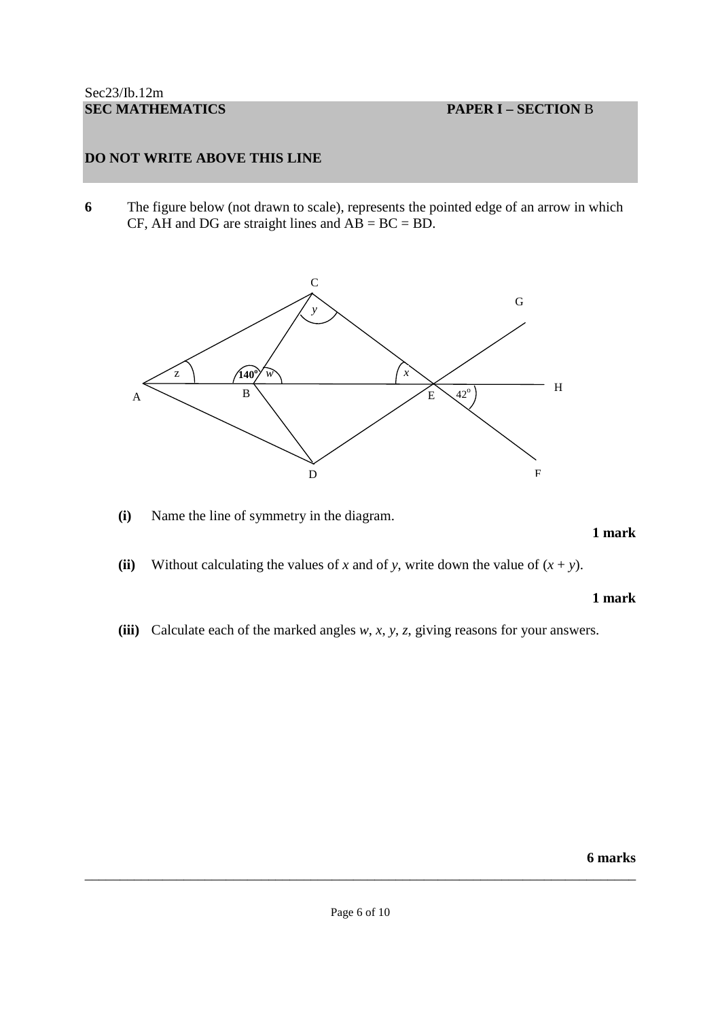**6** The figure below (not drawn to scale), represents the pointed edge of an arrow in which CF, AH and DG are straight lines and  $\overrightarrow{AB} = \overrightarrow{BC} = \overrightarrow{BD}$ .



**(i)** Name the line of symmetry in the diagram.

#### **1 mark**

(ii) Without calculating the values of *x* and of *y*, write down the value of  $(x + y)$ .

#### **1 mark**

 **(iii)** Calculate each of the marked angles *w*, *x*, *y*, *z*, giving reasons for your answers.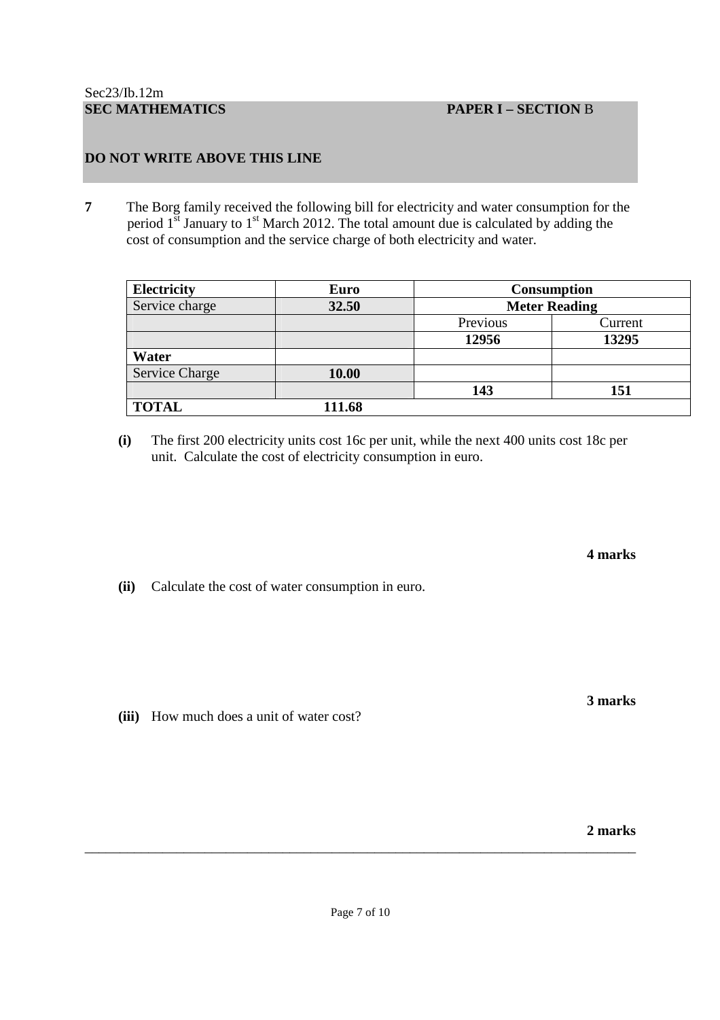**7** The Borg family received the following bill for electricity and water consumption for the period  $1<sup>st</sup>$  January to  $1<sup>st</sup>$  March 2012. The total amount due is calculated by adding the cost of consumption and the service charge of both electricity and water.

| <b>Electricity</b>    | <b>Euro</b> |          | <b>Consumption</b>   |
|-----------------------|-------------|----------|----------------------|
| Service charge        | 32.50       |          | <b>Meter Reading</b> |
|                       |             | Previous | Current              |
|                       |             | 12956    | 13295                |
| Water                 |             |          |                      |
| <b>Service Charge</b> | 10.00       |          |                      |
|                       |             | 143      | 151                  |
| <b>TOTAL</b>          | 111.68      |          |                      |

**(i)** The first 200 electricity units cost 16c per unit, while the next 400 units cost 18c per unit. Calculate the cost of electricity consumption in euro.

**4 marks** 

**(ii)** Calculate the cost of water consumption in euro.

 **(iii)** How much does a unit of water cost?

**2 marks** 

\_\_\_\_\_\_\_\_\_\_\_\_\_\_\_\_\_\_\_\_\_\_\_\_\_\_\_\_\_\_\_\_\_\_\_\_\_\_\_\_\_\_\_\_\_\_\_\_\_\_\_\_\_\_\_\_\_\_\_\_\_\_\_\_\_\_\_\_\_\_\_\_\_\_\_\_\_\_

**3 marks**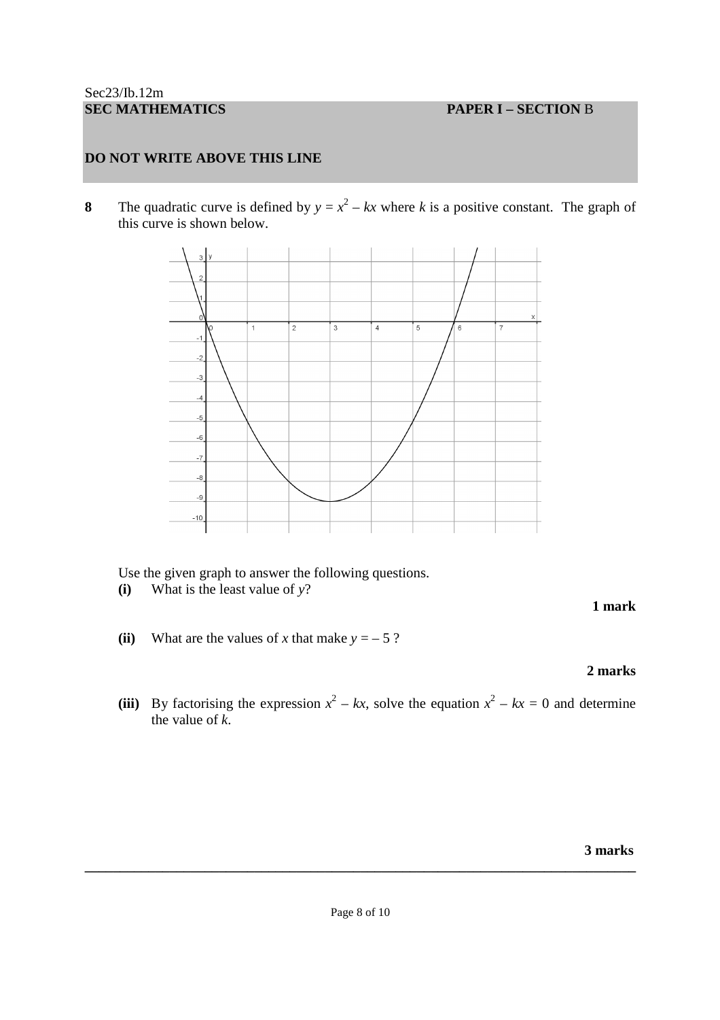**8** The quadratic curve is defined by  $y = x^2 - kx$  where *k* is a positive constant. The graph of this curve is shown below.



Use the given graph to answer the following questions.

**(i)** What is the least value of *y*?

# **1 mark**

**(ii)** What are the values of *x* that make  $y = -5$ ?

# **2 marks**

(iii) By factorising the expression  $x^2 - kx$ , solve the equation  $x^2 - kx = 0$  and determine the value of *k*.

 **3 marks**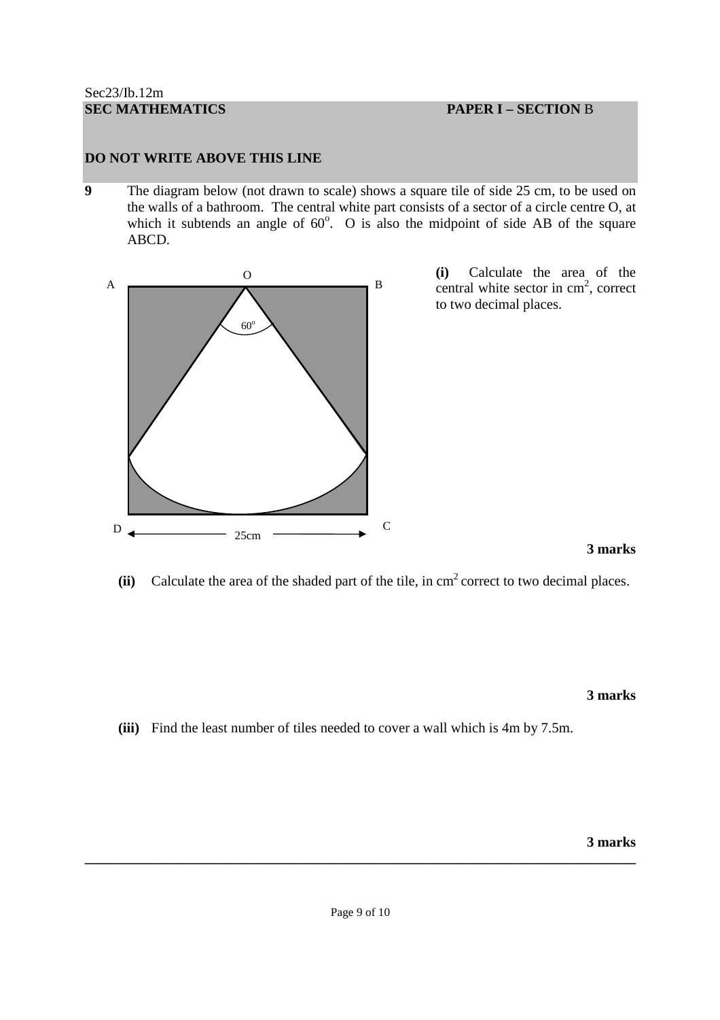**9** The diagram below (not drawn to scale) shows a square tile of side 25 cm, to be used on the walls of a bathroom. The central white part consists of a sector of a circle centre O, at which it subtends an angle of  $60^\circ$ . O is also the midpoint of side AB of the square ABCD.



**(i)** Calculate the area of the central white sector in  $cm<sup>2</sup>$ , correct to two decimal places.

**3 marks** 

 $(iii)$  Calculate the area of the shaded part of the tile, in  $cm<sup>2</sup>$  correct to two decimal places.

**3 marks** 

**(iii)** Find the least number of tiles needed to cover a wall which is 4m by 7.5m.

**3 marks**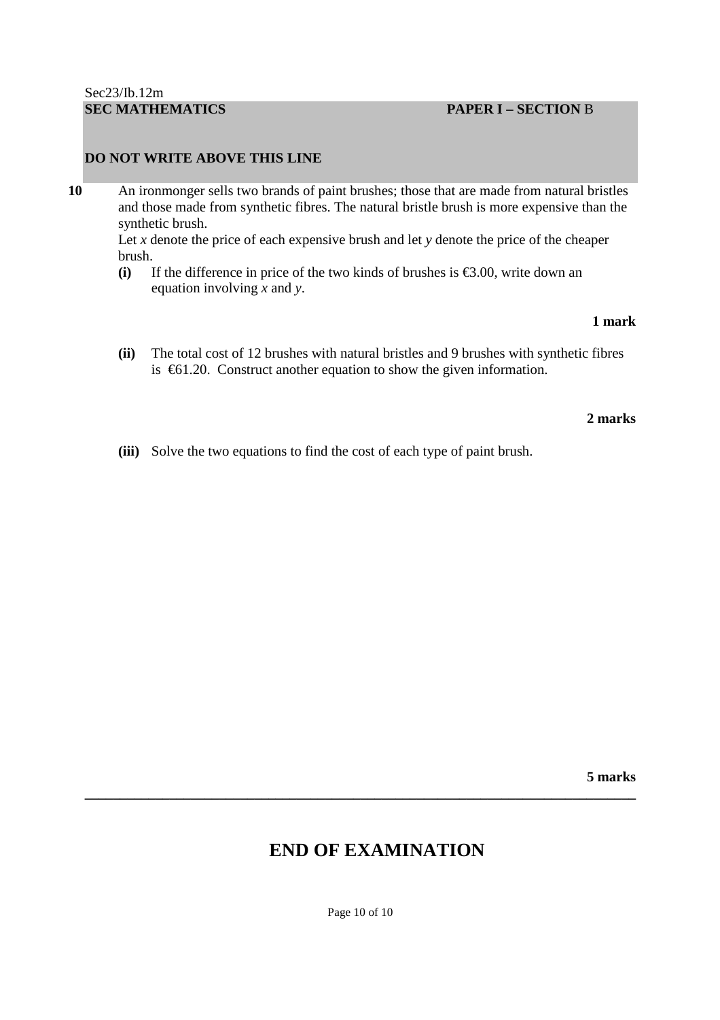# **SEC MATHEMATICS PAPER I – SECTION** B

#### **DO NOT WRITE ABOVE THIS LINE**

**10** An ironmonger sells two brands of paint brushes; those that are made from natural bristles and those made from synthetic fibres. The natural bristle brush is more expensive than the synthetic brush.

Let *x* denote the price of each expensive brush and let *y* denote the price of the cheaper brush.

**(i)** If the difference in price of the two kinds of brushes is €3.00, write down an equation involving *x* and *y*.

#### **1 mark**

**(ii)** The total cost of 12 brushes with natural bristles and 9 brushes with synthetic fibres is €61.20. Construct another equation to show the given information.

#### **2 marks**

 **(iii)** Solve the two equations to find the cost of each type of paint brush.

 **5 marks** 

# **END OF EXAMINATION**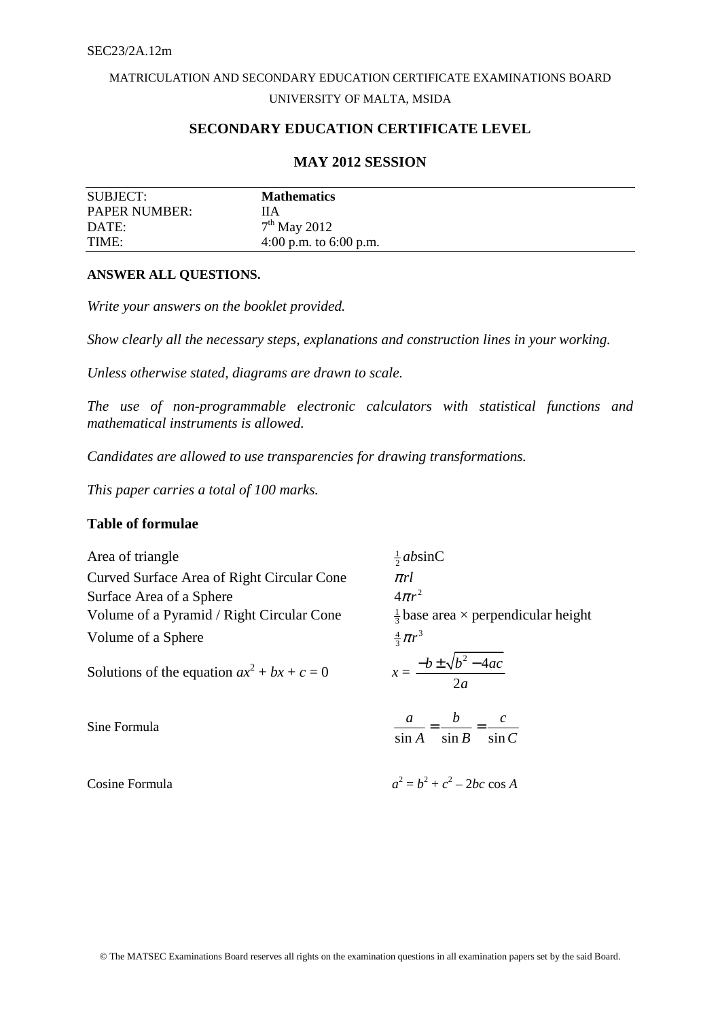# MATRICULATION AND SECONDARY EDUCATION CERTIFICATE EXAMINATIONS BOARD UNIVERSITY OF MALTA, MSIDA

# **SECONDARY EDUCATION CERTIFICATE LEVEL**

#### **MAY 2012 SESSION**

| SUBJECT:             | <b>Mathematics</b>       |
|----------------------|--------------------------|
| <b>PAPER NUMBER:</b> | HА                       |
| DATE:                | $7th$ May 2012           |
| TIME:                | 4:00 p.m. to $6:00$ p.m. |

#### **ANSWER ALL QUESTIONS.**

*Write your answers on the booklet provided.* 

*Show clearly all the necessary steps, explanations and construction lines in your working.* 

*Unless otherwise stated, diagrams are drawn to scale.* 

*The use of non-programmable electronic calculators with statistical functions and mathematical instruments is allowed.* 

*Candidates are allowed to use transparencies for drawing transformations.* 

*This paper carries a total of 100 marks.* 

## **Table of formulae**

Area of triangle Curved Surface Area of Right Circular Cone π*rl* Surface Area of a Sphere Volume of a Pyramid / Right Circular Cone <sup>1</sup> Volume of a Sphere

Solutions of the equation  $ax^2 + bx + c = 0$   $x =$ 

Sine Formula

Cosine Formula *a*

 $\frac{1}{2}$ *ab*sinC  $4\pi r^2$  $\frac{1}{3}$  base area  $\times$  perpendicular height  $rac{4}{3}\pi r^3$  $2^2 - 4$ 2  $b \pm \sqrt{b^2 - 4ac}$ *a*  $-b \pm \sqrt{b^2 -}$ *C c B b A a*  $\sin A$   $\sin B$   $\sin A$  $=\frac{v}{1}$  =  $2^2 = b^2 + c^2 - 2bc \cos A$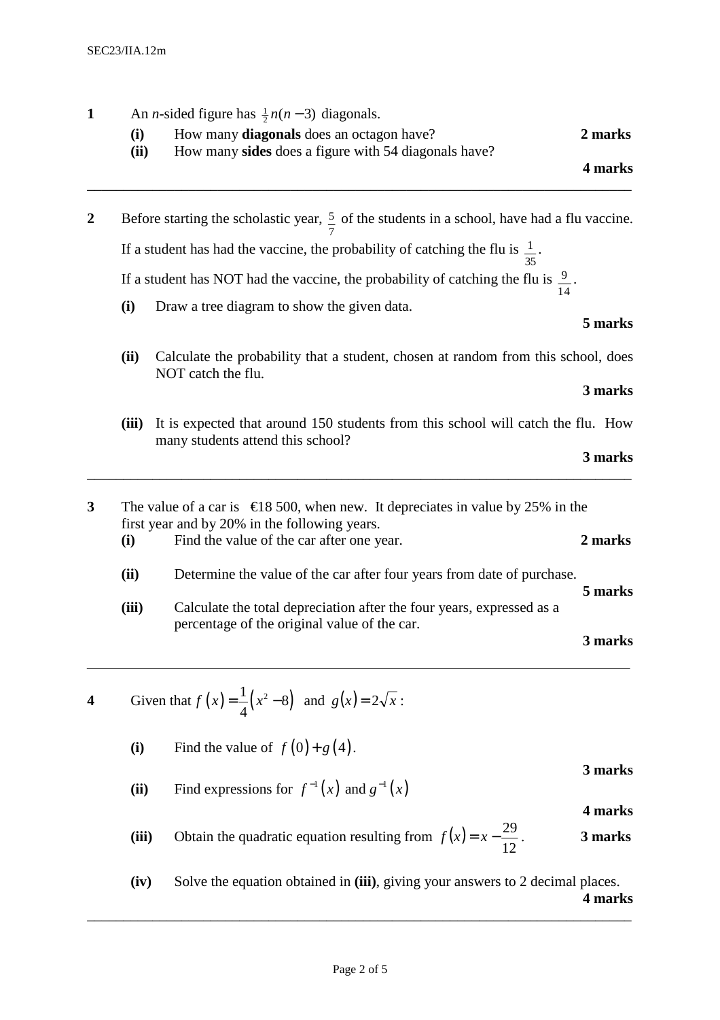| $\mathbf{1}$     |                                                                                         | An <i>n</i> -sided figure has $\frac{1}{2}n(n-3)$ diagonals.                                                          |         |  |  |  |  |  |
|------------------|-----------------------------------------------------------------------------------------|-----------------------------------------------------------------------------------------------------------------------|---------|--|--|--|--|--|
|                  | (i)<br>(ii)                                                                             | How many diagonals does an octagon have?<br>How many sides does a figure with 54 diagonals have?                      | 2 marks |  |  |  |  |  |
|                  |                                                                                         |                                                                                                                       | 4 marks |  |  |  |  |  |
| $\boldsymbol{2}$ |                                                                                         | Before starting the scholastic year, $\frac{5}{7}$ of the students in a school, have had a flu vaccine.               |         |  |  |  |  |  |
|                  |                                                                                         | If a student has had the vaccine, the probability of catching the flu is $\frac{1}{35}$ .                             |         |  |  |  |  |  |
|                  |                                                                                         | If a student has NOT had the vaccine, the probability of catching the flu is $\frac{9}{14}$ .                         |         |  |  |  |  |  |
|                  | (i)                                                                                     | Draw a tree diagram to show the given data.                                                                           | 5 marks |  |  |  |  |  |
|                  | (ii)                                                                                    | Calculate the probability that a student, chosen at random from this school, does<br>NOT catch the flu.               |         |  |  |  |  |  |
|                  |                                                                                         |                                                                                                                       | 3 marks |  |  |  |  |  |
|                  | (iii)                                                                                   | It is expected that around 150 students from this school will catch the flu. How<br>many students attend this school? |         |  |  |  |  |  |
|                  |                                                                                         |                                                                                                                       | 3 marks |  |  |  |  |  |
| 3                | The value of a car is $\epsilon$ 18 500, when new. It depreciates invalue by 25% in the |                                                                                                                       |         |  |  |  |  |  |
|                  | (i)                                                                                     | first year and by 20% in the following years.<br>Find the value of the car after one year.                            | 2 marks |  |  |  |  |  |
|                  | (ii)                                                                                    | Determine the value of the car after four years from date of purchase.                                                |         |  |  |  |  |  |
|                  |                                                                                         |                                                                                                                       | 5 marks |  |  |  |  |  |
|                  | (iii)                                                                                   | Calculate the total depreciation after the four years, expressed as a<br>percentage of the original value of the car. |         |  |  |  |  |  |
|                  |                                                                                         |                                                                                                                       | 3 marks |  |  |  |  |  |
| 4                |                                                                                         | Given that $f(x) = \frac{1}{4}(x^2 - 8)$ and $g(x) = 2\sqrt{x}$ :                                                     |         |  |  |  |  |  |
|                  | (i)                                                                                     | Find the value of $f(0) + g(4)$ .                                                                                     |         |  |  |  |  |  |
|                  | (ii)                                                                                    |                                                                                                                       | 3 marks |  |  |  |  |  |
|                  |                                                                                         | Find expressions for $f^{-1}(x)$ and $g^{-1}(x)$                                                                      | 4 marks |  |  |  |  |  |
|                  | (iii)                                                                                   | Obtain the quadratic equation resulting from $f(x) = x - \frac{29}{12}$ .                                             | 3 marks |  |  |  |  |  |
|                  | (iv)                                                                                    | Solve the equation obtained in (iii), giving your answers to 2 decimal places.                                        | 4 marks |  |  |  |  |  |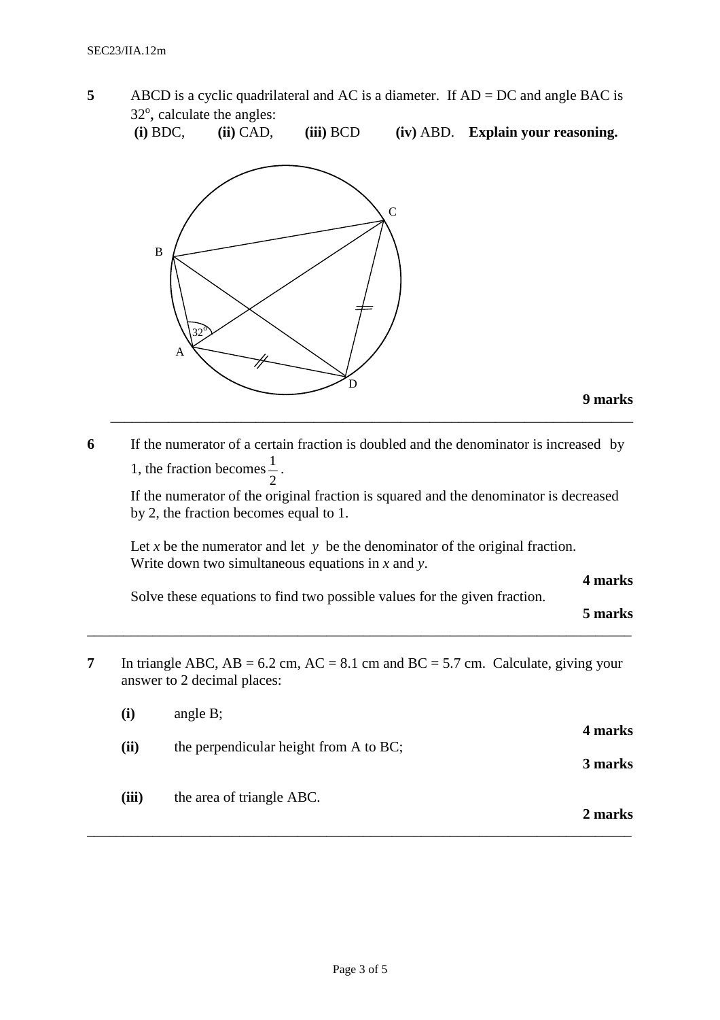**5** ABCD is a cyclic quadrilateral and AC is a diameter. If AD = DC and angle BAC is 32°, calculate the angles:

**(i)** BDC, **(ii)** CAD, **(iii)** BCD **(iv)** ABD. **Explain your reasoning.** 



**6** If the numerator of a certain fraction is doubled and the denominator is increased by 1, the fraction becomes 2  $\frac{1}{2}$ .

 If the numerator of the original fraction is squared and the denominator is decreased by 2, the fraction becomes equal to 1.

\_\_\_\_\_\_\_\_\_\_\_\_\_\_\_\_\_\_\_\_\_\_\_\_\_\_\_\_\_\_\_\_\_\_\_\_\_\_\_\_\_\_\_\_\_\_\_\_\_\_\_\_\_\_\_\_\_\_\_\_\_\_\_\_\_\_\_\_\_\_\_\_

Let *x* be the numerator and let  $y$  be the denominator of the original fraction. Write down two simultaneous equations in *x* and *y*.

**4 marks** 

Solve these equations to find two possible values for the given fraction.

\_\_\_\_\_\_\_\_\_\_\_\_\_\_\_\_\_\_\_\_\_\_\_\_\_\_\_\_\_\_\_\_\_\_\_\_\_\_\_\_\_\_\_\_\_\_\_\_\_\_\_\_\_\_\_\_\_\_\_\_\_\_\_\_\_\_\_\_\_\_\_\_\_\_\_

**5 marks**

**7** In triangle ABC,  $AB = 6.2$  cm,  $AC = 8.1$  cm and  $BC = 5.7$  cm. Calculate, giving your answer to 2 decimal places:

| (iii) | the area of triangle ABC.              | 2 marks |
|-------|----------------------------------------|---------|
| (ii)  | the perpendicular height from A to BC; | 3 marks |
| (i)   | angle $B$ ;                            | 4 marks |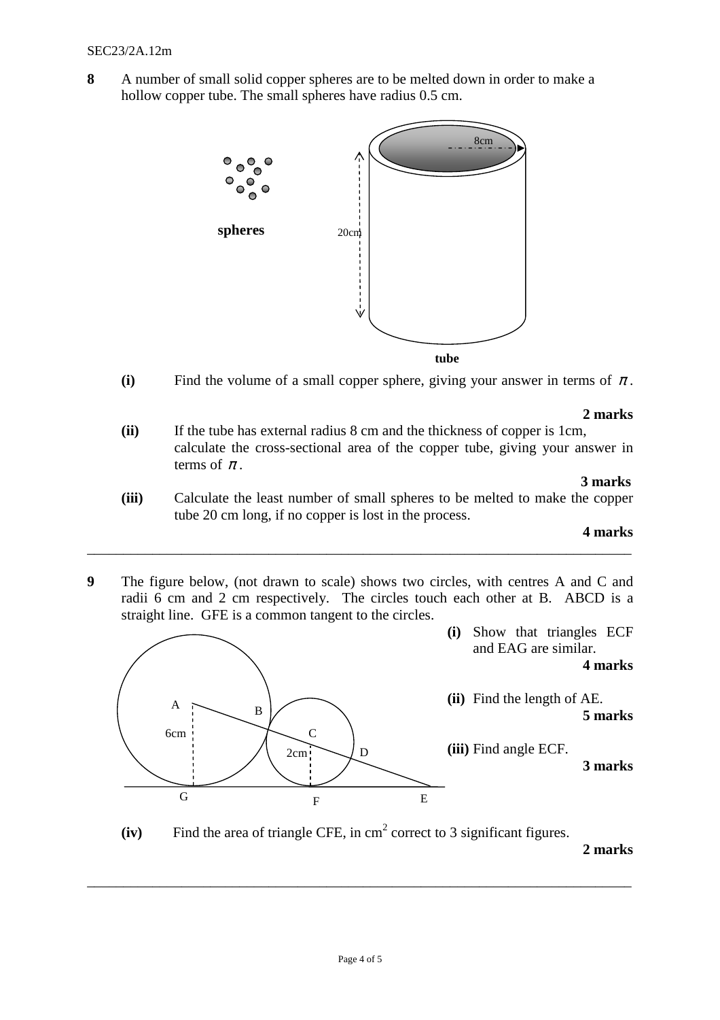**8** A number of small solid copper spheres are to be melted down in order to make a hollow copper tube. The small spheres have radius  $0.5$  cm.



**(i)** Find the volume of a small copper sphere, giving your answer in terms of  $\pi$ .

#### **2 marks**

**(ii)** If the tube has external radius 8 cm and the thickness of copper is 1cm, calculate the cross-sectional area of the copper tube, giving your answer in terms of  $\pi$ .

#### **3 marks**

**(iii)** Calculate the least number of small spheres to be melted to make the copper tube 20 cm long, if no copper is lost in the process.

#### **4 marks**

**9** The figure below, (not drawn to scale) shows two circles, with centres A and C and radii 6 cm and 2 cm respectively. The circles touch each other at B. ABCD is a straight line. GFE is a common tangent to the circles.

\_\_\_\_\_\_\_\_\_\_\_\_\_\_\_\_\_\_\_\_\_\_\_\_\_\_\_\_\_\_\_\_\_\_\_\_\_\_\_\_\_\_\_\_\_\_\_\_\_\_\_\_\_\_\_\_\_\_\_\_\_\_\_\_\_\_\_\_\_\_\_\_\_\_\_



 $(iv)$  Find the area of triangle CFE, in  $cm<sup>2</sup>$  correct to 3 significant figures.

**2 marks**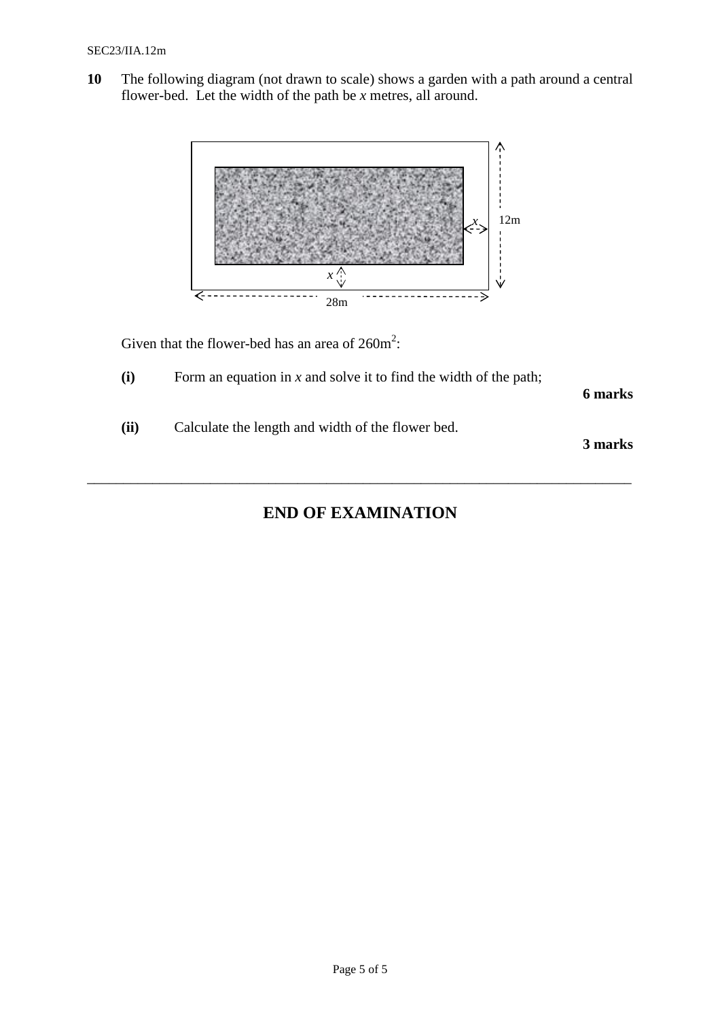**10** The following diagram (not drawn to scale) shows a garden with a path around a central flower-bed. Let the width of the path be *x* metres, all around.



Given that the flower-bed has an area of  $260m^2$ :

**(i)** Form an equation in *x* and solve it to find the width of the path;

**6 marks** 

**(ii)** Calculate the length and width of the flower bed.

**3 marks** 

# **END OF EXAMINATION**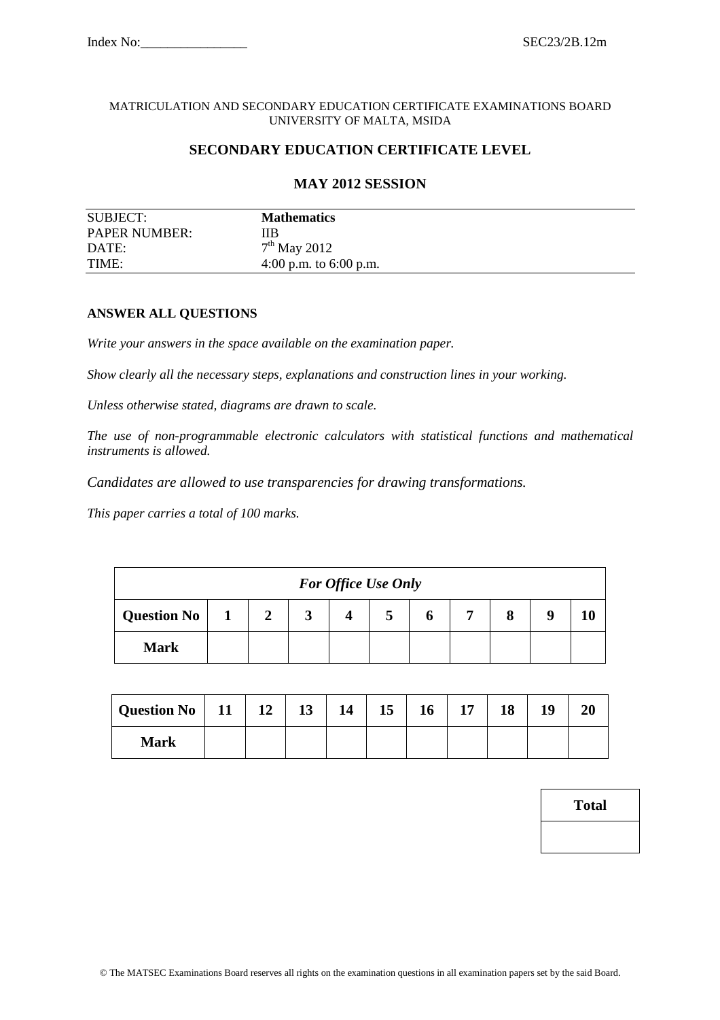#### MATRICULATION AND SECONDARY EDUCATION CERTIFICATE EXAMINATIONS BOARD UNIVERSITY OF MALTA, MSIDA

# **SECONDARY EDUCATION CERTIFICATE LEVEL**

# **MAY 2012 SESSION**

| SUBJECT:             | <b>Mathematics</b>       |
|----------------------|--------------------------|
| <b>PAPER NUMBER:</b> | ПB                       |
| DATE:                | $7th$ May 2012           |
| TIME:                | 4:00 p.m. to $6:00$ p.m. |

#### **ANSWER ALL QUESTIONS**

*Write your answers in the space available on the examination paper.* 

*Show clearly all the necessary steps, explanations and construction lines in your working.* 

*Unless otherwise stated, diagrams are drawn to scale.* 

*The use of non-programmable electronic calculators with statistical functions and mathematical instruments is allowed.* 

*Candidates are allowed to use transparencies for drawing transformations.* 

*This paper carries a total of 100 marks.* 

|             |                |        | <b>For Office Use Only</b> |  |   |  |
|-------------|----------------|--------|----------------------------|--|---|--|
| Question No | $\overline{2}$ | 2<br>◡ |                            |  | 8 |  |
| <b>Mark</b> |                |        |                            |  |   |  |

| Question No   11   12 |  | 13 | 14 | 15 | 16 | 17 | 18 | 10 | 20 |
|-----------------------|--|----|----|----|----|----|----|----|----|
| <b>Mark</b>           |  |    |    |    |    |    |    |    |    |

| Total |  |
|-------|--|
|       |  |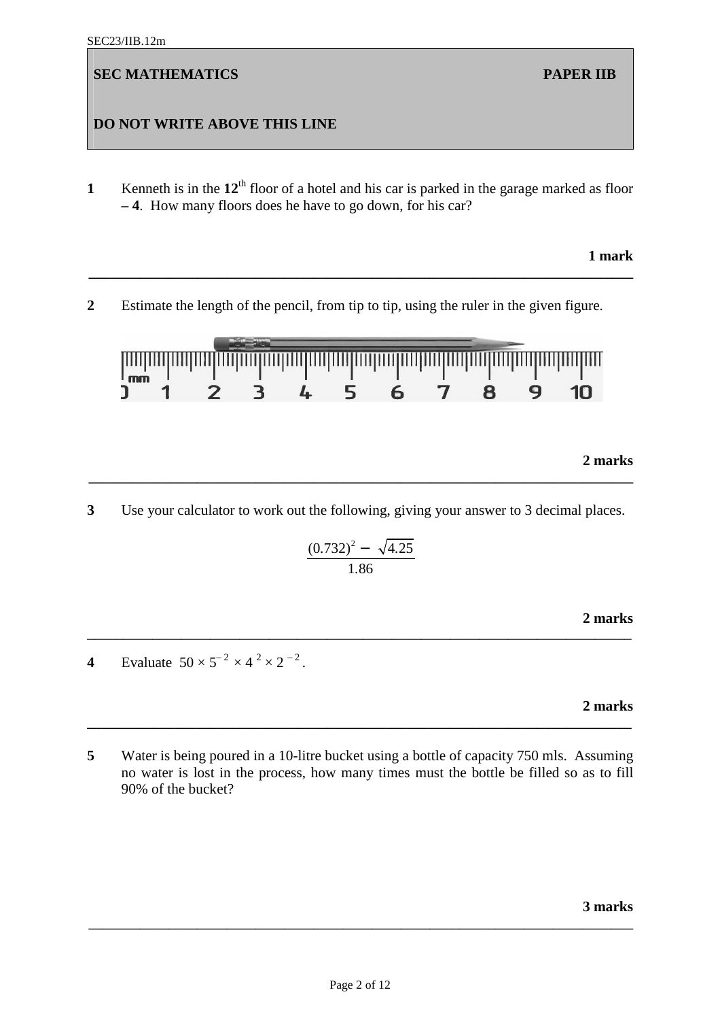# **DO NOT WRITE ABOVE THIS LINE**

**1 Kenneth** is in the  $12^{th}$  floor of a hotel and his car is parked in the garage marked as floor **– 4**. How many floors does he have to go down, for his car?

**\_\_\_\_\_\_\_\_\_\_\_\_\_\_\_\_\_\_\_\_\_\_\_\_\_\_\_\_\_\_\_\_\_\_\_\_\_\_\_\_\_\_\_\_\_\_\_\_\_\_\_\_\_\_\_\_\_\_\_\_\_\_\_\_\_\_\_\_\_\_\_\_\_\_\_** 

### **1 mark**

**2** Estimate the length of the pencil, from tip to tip, using the ruler in the given figure.



# **2 marks**

**3** Use your calculator to work out the following, giving your answer to 3 decimal places.

**\_\_\_\_\_\_\_\_\_\_\_\_\_\_\_\_\_\_\_\_\_\_\_\_\_\_\_\_\_\_\_\_\_\_\_\_\_\_\_\_\_\_\_\_\_\_\_\_\_\_\_\_\_\_\_\_\_\_\_\_\_\_\_\_\_\_\_\_\_\_\_\_\_\_\_** 

$$
\frac{(0.732)^2 - \sqrt{4.25}}{1.86}
$$

\_\_\_\_\_\_\_\_\_\_\_\_\_\_\_\_\_\_\_\_\_\_\_\_\_\_\_\_\_\_\_\_\_\_\_\_\_\_\_\_\_\_\_\_\_\_\_\_\_\_\_\_\_\_\_\_\_\_\_\_\_\_\_\_\_\_\_\_\_\_\_\_\_\_\_

**2 marks** 

**4** Evaluate  $50 \times 5^{-2} \times 4^{2} \times 2^{-2}$ .

**2 marks** 

**5** Water is being poured in a 10-litre bucket using a bottle of capacity 750 mls. Assuming no water is lost in the process, how many times must the bottle be filled so as to fill 90% of the bucket?

**\_\_\_\_\_\_\_\_\_\_\_\_\_\_\_\_\_\_\_\_\_\_\_\_\_\_\_\_\_\_\_\_\_\_\_\_\_\_\_\_\_\_\_\_\_\_\_\_\_\_\_\_\_\_\_\_\_\_\_\_\_\_\_\_\_\_\_\_\_\_\_\_\_\_\_**

#### **3 marks**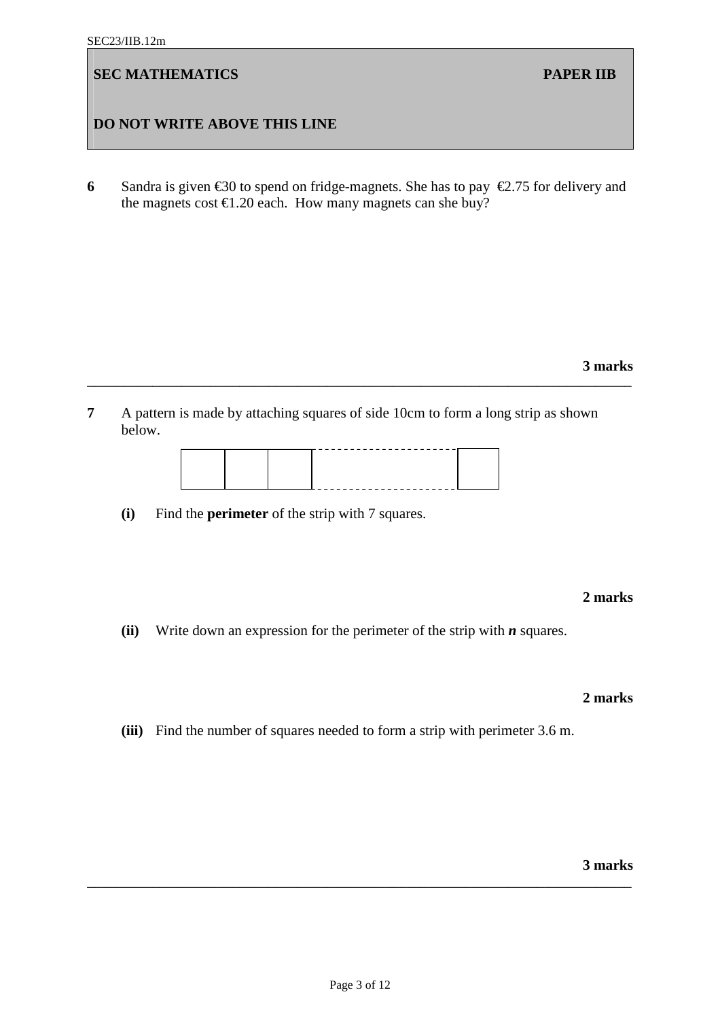# **DO NOT WRITE ABOVE THIS LINE**

**6** Sandra is given  $\epsilon$ 30 to spend on fridge-magnets. She has to pay  $\epsilon$ 2.75 for delivery and the magnets cost  $\epsilon$ 1.20 each. How many magnets can she buy?

# **3 marks**

**7** A pattern is made by attaching squares of side 10cm to form a long strip as shown below.

\_\_\_\_\_\_\_\_\_\_\_\_\_\_\_\_\_\_\_\_\_\_\_\_\_\_\_\_\_\_\_\_\_\_\_\_\_\_\_\_\_\_\_\_\_\_\_\_\_\_\_\_\_\_\_\_\_\_\_\_\_\_\_\_\_\_\_\_\_\_\_\_\_\_\_



**(i)** Find the **perimeter** of the strip with 7 squares.

#### **2 marks**

**(ii)** Write down an expression for the perimeter of the strip with *n* squares.

#### **2 marks**

**(iii)** Find the number of squares needed to form a strip with perimeter 3.6 m.

**3 marks**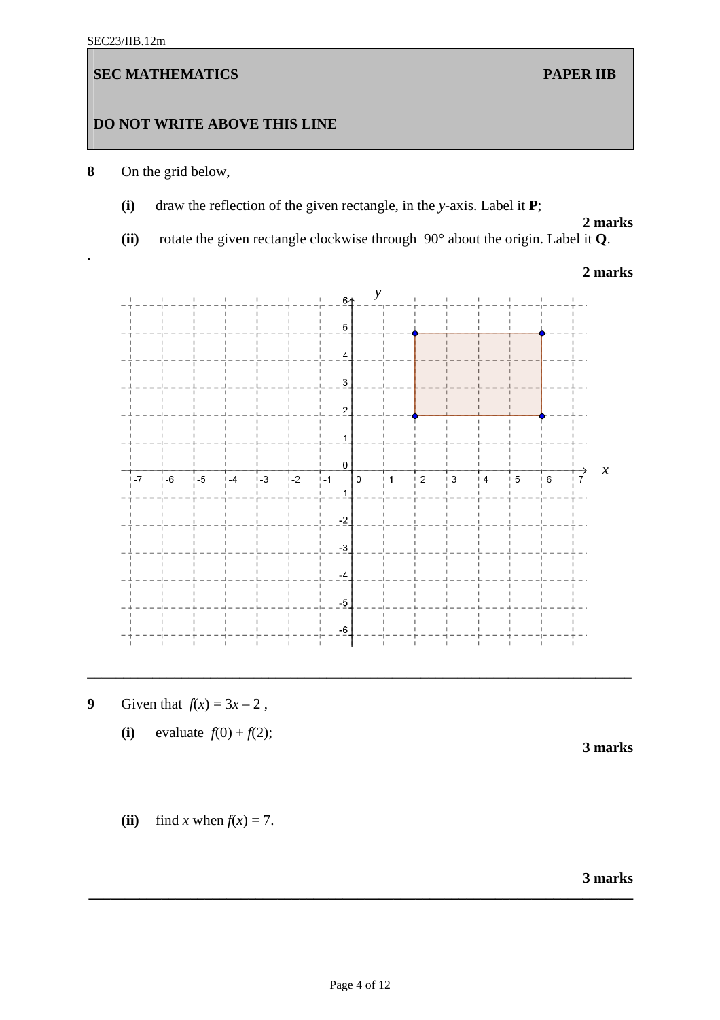.

# **SEC MATHEMATICS** PAPER IIB

# **DO NOT WRITE ABOVE THIS LINE**

- **8** On the grid below,
	- **(i)** draw the reflection of the given rectangle, in the *y*-axis. Label it **P**;

# **2 marks**

 **(ii)** rotate the given rectangle clockwise through 90° about the origin. Label it **Q**.

# **2 marks**



\_\_\_\_\_\_\_\_\_\_\_\_\_\_\_\_\_\_\_\_\_\_\_\_\_\_\_\_\_\_\_\_\_\_\_\_\_\_\_\_\_\_\_\_\_\_\_\_\_\_\_\_\_\_\_\_\_\_\_\_\_\_\_\_\_\_\_\_\_\_\_\_\_\_\_

- $\boldsymbol{9}$ Given that  $f(x) = 3x - 2$ ,
	- **(i)** evaluate  $f(0) + f(2)$ ;

**3 marks** 

(ii) find *x* when  $f(x) = 7$ .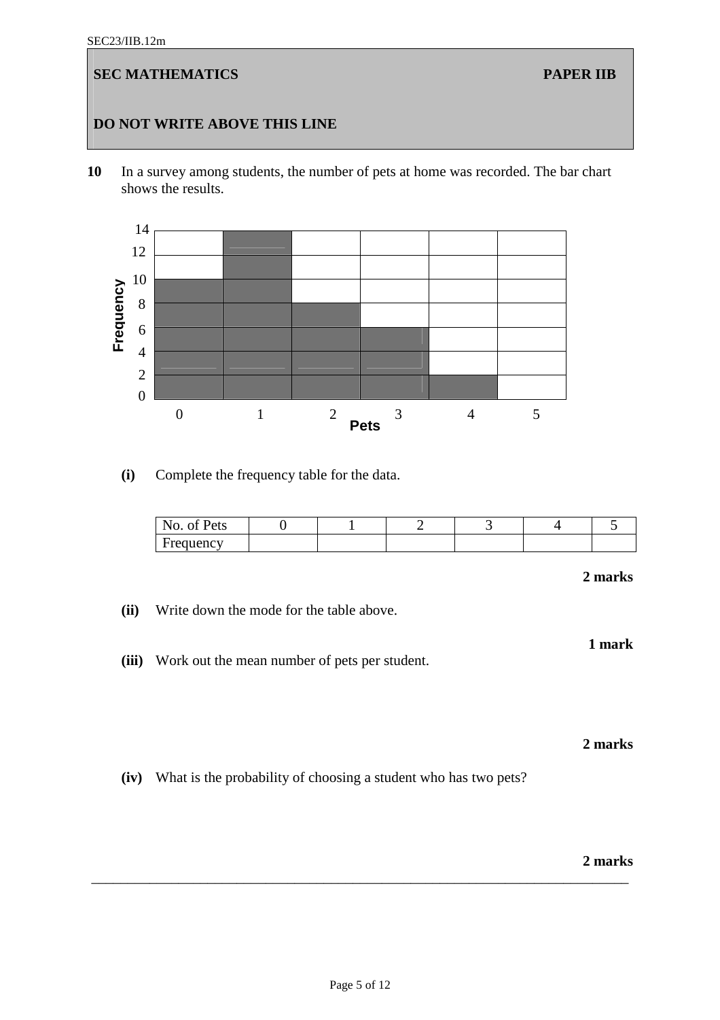#### SEC23/IIB.12m

# **SEC MATHEMATICS** PAPER IIB

# **DO NOT WRITE ABOVE THIS LINE**

**10** In a survey among students, the number of pets at home was recorded. The bar chart shows the results.



**(i)** Complete the frequency table for the data.

| N.<br>$\mathbf{r}$<br>Pets<br>110 |  |  |  |
|-----------------------------------|--|--|--|
| requency                          |  |  |  |

# **2 marks**

**1 mark** 

- **(ii)** Write down the mode for the table above.
- **(iii)** Work out the mean number of pets per student.

#### **2 marks**

**(iv)** What is the probability of choosing a student who has two pets?

#### **2 marks**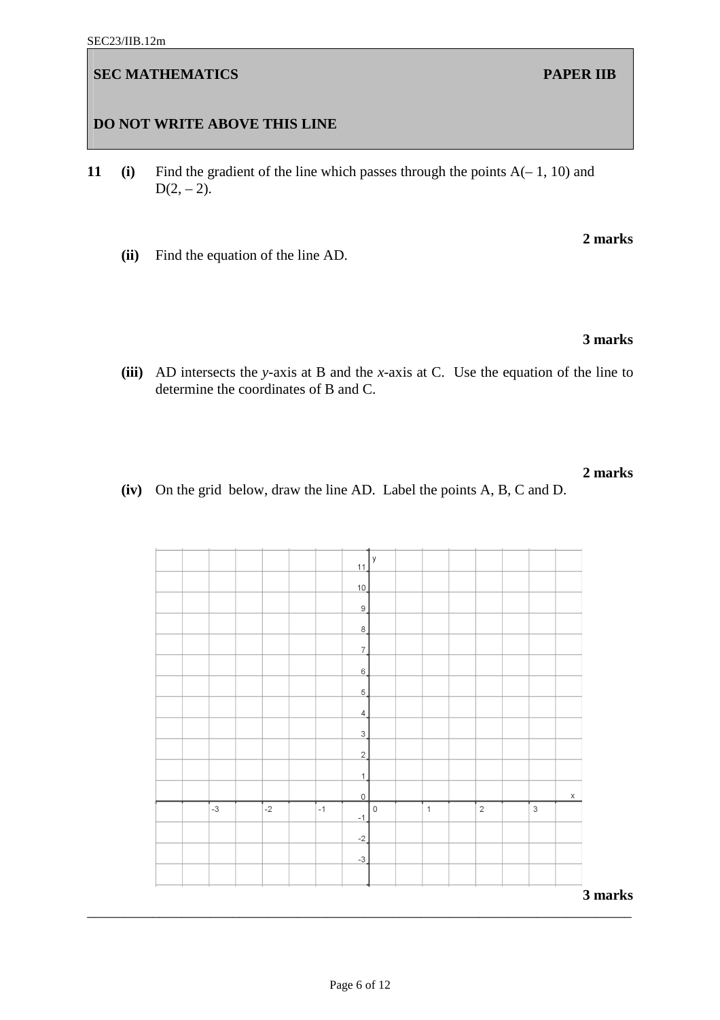\_\_\_\_\_\_\_\_\_\_\_\_\_\_\_\_\_\_\_\_\_\_\_\_\_\_\_\_\_\_\_\_\_\_\_\_\_\_\_\_\_\_\_\_\_\_\_\_\_\_\_\_\_\_\_\_\_\_\_\_\_\_\_\_\_\_\_\_\_\_\_\_\_\_\_

# **DO NOT WRITE ABOVE THIS LINE**

- **11 (i)** Find the gradient of the line which passes through the points A(– 1, 10) and  $D(2, -2)$ .
	- **(ii)** Find the equation of the line AD.

# **3 marks**

**(iii)** AD intersects the *y*-axis at B and the *x*-axis at C. Use the equation of the line to determine the coordinates of B and C.

 **(iv)** On the grid below, draw the line AD. Label the points A, B, C and D.

|  |      |      |      | 11                         | y                   |              |                |             |             |
|--|------|------|------|----------------------------|---------------------|--------------|----------------|-------------|-------------|
|  |      |      |      | 10                         |                     |              |                |             |             |
|  |      |      |      | 9                          |                     |              |                |             |             |
|  |      |      |      |                            |                     |              |                |             |             |
|  |      |      |      | $8 \overline{)}$           |                     |              |                |             |             |
|  |      |      |      | $\overline{7}$             |                     |              |                |             |             |
|  |      |      |      | $6 \overline{\phantom{0}}$ |                     |              |                |             |             |
|  |      |      |      | $5 \overline{\phantom{0}}$ |                     |              |                |             |             |
|  |      |      |      | 4                          |                     |              |                |             |             |
|  |      |      |      | $\overline{\mathbf{3}}$    |                     |              |                |             |             |
|  |      |      |      | $\overline{2}$             |                     |              |                |             |             |
|  |      |      |      | $\mathbf{1}$               |                     |              |                |             |             |
|  |      |      |      | $\mathsf{O}\xspace$        |                     |              |                |             | $\mathsf X$ |
|  | $-3$ | $-2$ | $-1$ | $-1$                       | $\mathsf{O}\xspace$ | $\mathbf{1}$ | $\overline{2}$ | $\mathsf 3$ |             |
|  |      |      |      | $-2$                       |                     |              |                |             |             |
|  |      |      |      | $-3$                       |                     |              |                |             |             |
|  |      |      |      |                            |                     |              |                |             |             |
|  |      |      |      |                            |                     |              |                |             | 3 marks     |
|  |      |      |      |                            |                     |              |                |             |             |

#### **2 marks**

**2 marks**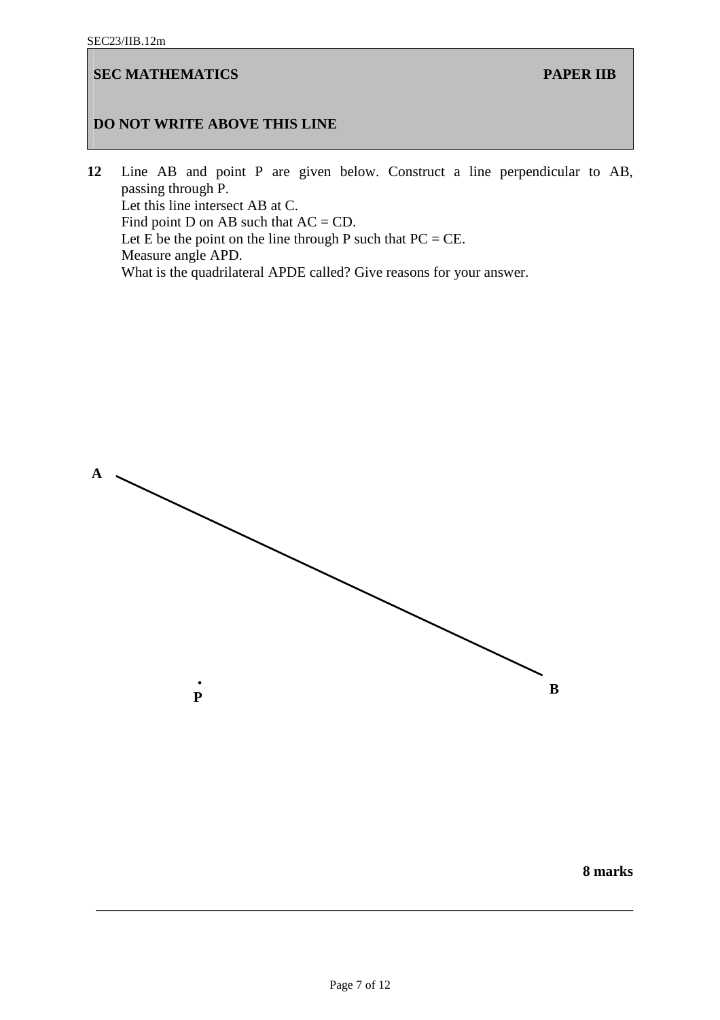# **DO NOT WRITE ABOVE THIS LINE**

**12** Line AB and point P are given below. Construct a line perpendicular to AB, passing through P. Let this line intersect AB at C. Find point D on AB such that  $AC = CD$ . Let  $\overrightarrow{E}$  be the point on the line through P such that PC = CE. Measure angle APD. What is the quadrilateral APDE called? Give reasons for your answer.



**8 marks**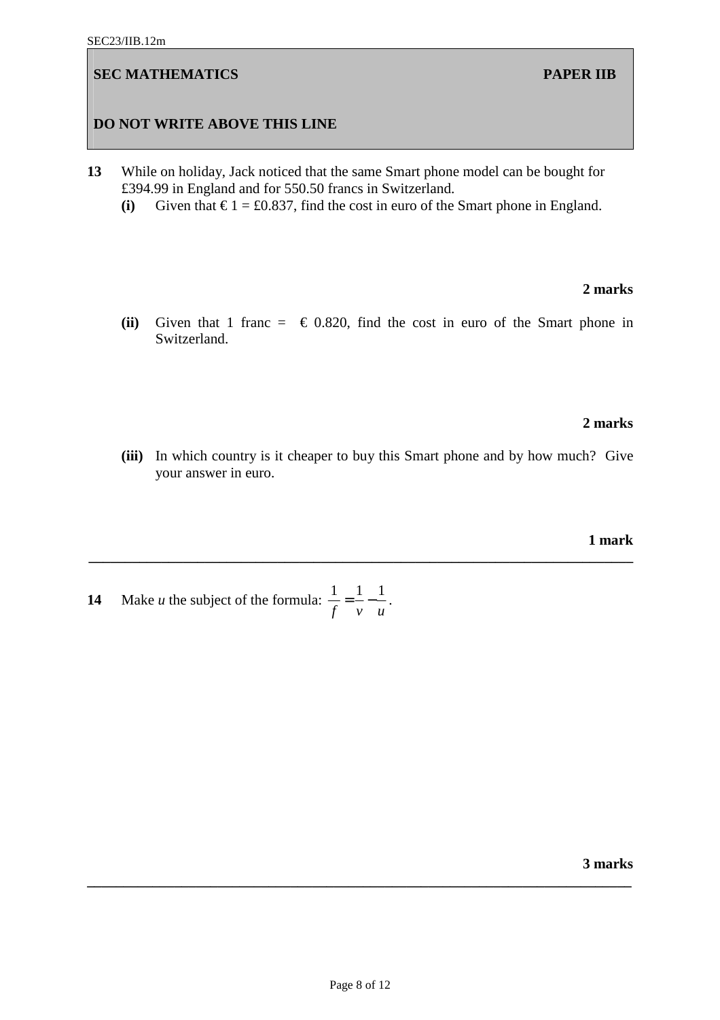## **DO NOT WRITE ABOVE THIS LINE**

- **13** While on holiday, Jack noticed that the same Smart phone model can be bought for £394.99 in England and for 550.50 francs in Switzerland.
	- (i) Given that  $\epsilon$  1 = £0.837, find the cost in euro of the Smart phone in England.

#### **2 marks**

**(ii)** Given that 1 franc =  $\in$  0.820, find the cost in euro of the Smart phone in Switzerland.

## **2 marks**

**(iii)** In which country is it cheaper to buy this Smart phone and by how much? Give your answer in euro.

**\_\_\_\_\_\_\_\_\_\_\_\_\_\_\_\_\_\_\_\_\_\_\_\_\_\_\_\_\_\_\_\_\_\_\_\_\_\_\_\_\_\_\_\_\_\_\_\_\_\_\_\_\_\_\_\_\_\_\_\_\_\_\_\_\_\_\_\_\_\_\_\_\_\_\_** 

**1 mark** 

**14** Make *u* the subject of the formula:  $\frac{1}{a} = \frac{1}{1} - \frac{1}{1}$ *f v u* = − .

**3 marks**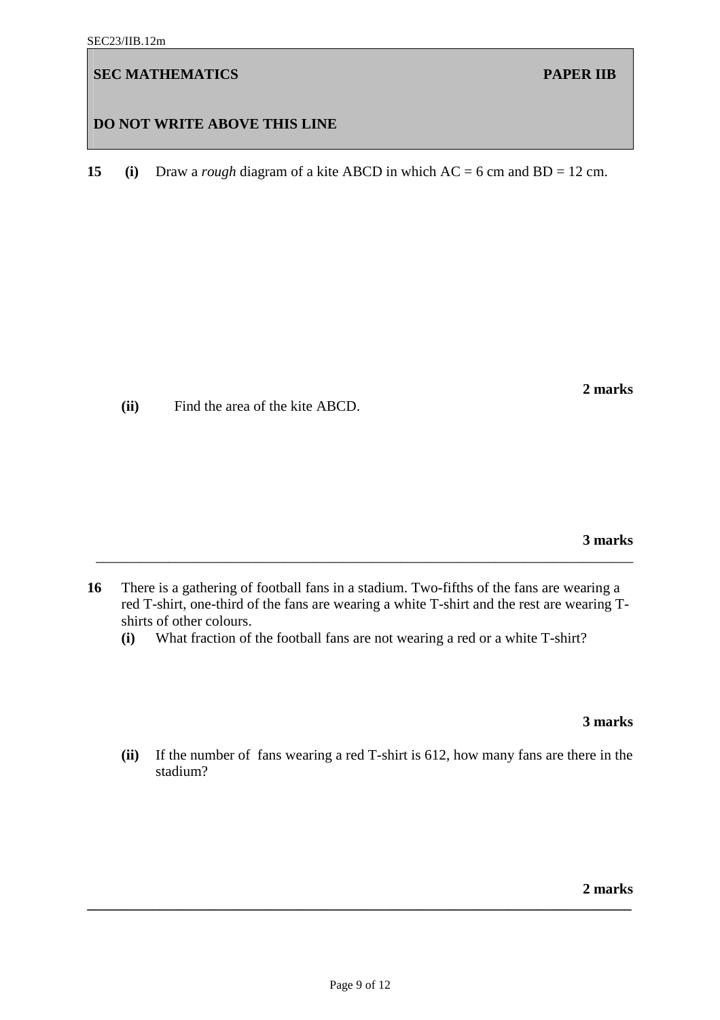# **DO NOT WRITE ABOVE THIS LINE**

**15 (i)** Draw a *rough* diagram of a kite ABCD in which AC = 6 cm and BD = 12 cm.

 **(ii)** Find the area of the kite ABCD.

**3 marks** 

**16** There is a gathering of football fans in a stadium. Two-fifths of the fans are wearing a red T-shirt, one-third of the fans are wearing a white T-shirt and the rest are wearing Tshirts of other colours.

\_\_\_\_\_\_\_\_\_\_\_\_\_\_\_\_\_\_\_\_\_\_\_\_\_\_\_\_\_\_\_\_\_\_\_\_\_\_\_\_\_\_\_\_\_\_\_\_\_\_\_\_\_\_\_\_\_\_\_\_\_\_\_\_\_\_\_\_\_\_\_\_\_\_

**(i)** What fraction of the football fans are not wearing a red or a white T-shirt?

**3 marks** 

**(ii)** If the number of fans wearing a red T-shirt is 612, how many fans are there in the stadium?

**2 marks \_\_\_\_\_\_\_\_\_\_\_\_\_\_\_\_\_\_\_\_\_\_\_\_\_\_\_\_\_\_\_\_\_\_\_\_\_\_\_\_\_\_\_\_\_\_\_\_\_\_\_\_\_\_\_\_\_\_\_\_\_\_\_\_\_\_\_\_\_\_\_\_\_\_\_** 

**2 marks**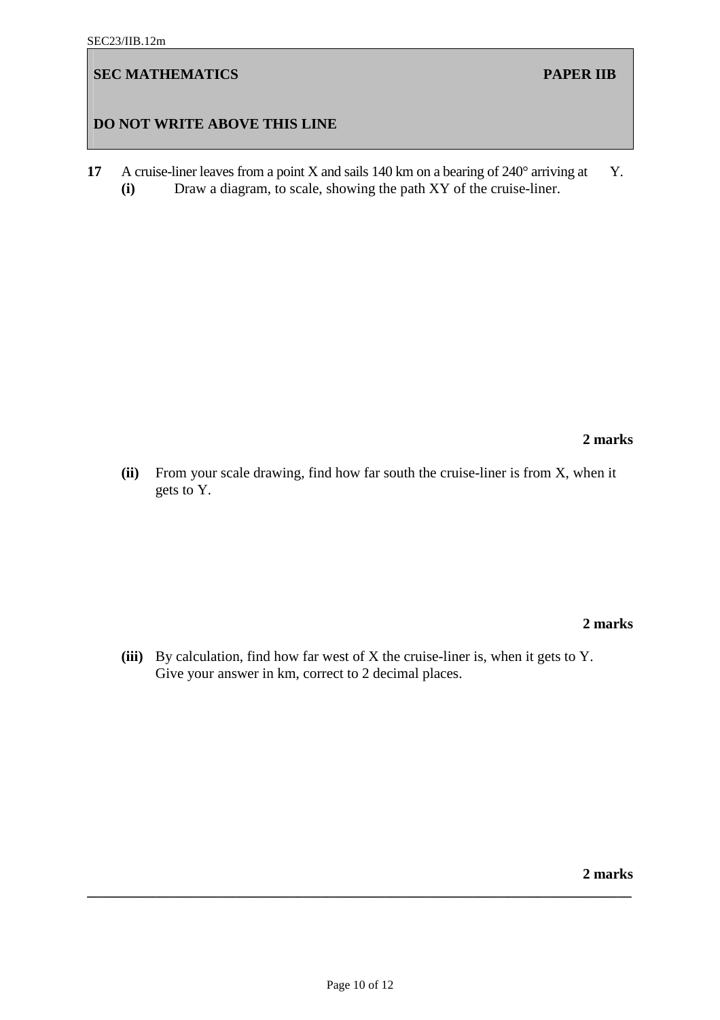# **DO NOT WRITE ABOVE THIS LINE**

**17** A cruise-liner leaves from a point X and sails 140 km on a bearing of 240° arriving at Y. **(i)** Draw a diagram, to scale, showing the path XY of the cruise-liner.

**2 marks** 

**(ii)** From your scale drawing, find how far south the cruise-liner is from X, when it gets to Y.

**2 marks** 

**(iii)** By calculation, find how far west of X the cruise-liner is, when it gets to Y. Give your answer in km, correct to 2 decimal places.

**2 marks**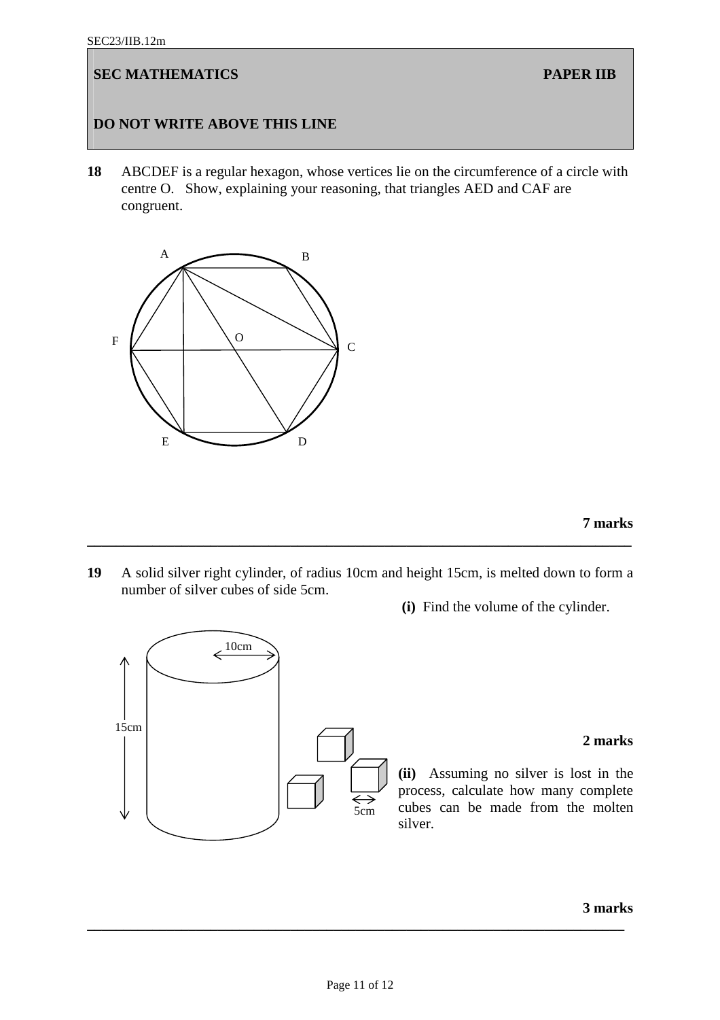15cm

# **SEC MATHEMATICS PAPER IIB**

# **DO NOT WRITE ABOVE THIS LINE**

**18** ABCDEF is a regular hexagon, whose vertices lie on the circumference of a circle with centre O. Show, explaining your reasoning, that triangles AED and CAF are congruent.



 $\leftarrow$ <sup>10cm</sup>

 **7 marks**

**19** A solid silver right cylinder, of radius 10cm and height 15cm, is melted down to form a number of silver cubes of side 5cm.

**\_\_\_\_\_\_\_\_\_\_\_\_\_\_\_\_\_\_\_\_\_\_\_\_\_\_\_\_\_\_\_\_\_\_\_\_\_\_\_\_\_\_\_\_\_\_\_\_\_\_\_\_\_\_\_\_\_\_\_\_\_\_\_\_\_\_\_\_\_\_\_\_\_\_\_** 

 **(i)** Find the volume of the cylinder.

## **2 marks**

**(ii)** Assuming no silver is lost in the process, calculate how many complete cubes can be made from the molten silver.

**3 marks** 

**\_\_\_\_\_\_\_\_\_\_\_\_\_\_\_\_\_\_\_\_\_\_\_\_\_\_\_\_\_\_\_\_\_\_\_\_\_\_\_\_\_\_\_\_\_\_\_\_\_\_\_\_\_\_\_\_\_\_\_\_\_\_\_\_\_\_\_\_\_\_\_\_\_\_** 

5cm